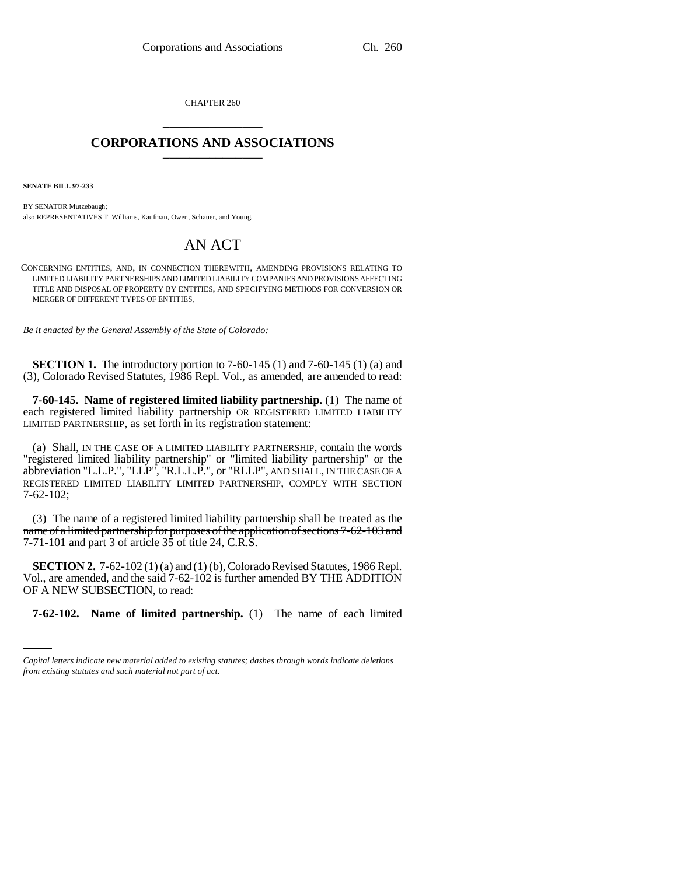CHAPTER 260 \_\_\_\_\_\_\_\_\_\_\_\_\_\_\_

# **CORPORATIONS AND ASSOCIATIONS** \_\_\_\_\_\_\_\_\_\_\_\_\_\_\_

**SENATE BILL 97-233**

BY SENATOR Mutzebaugh; also REPRESENTATIVES T. Williams, Kaufman, Owen, Schauer, and Young.

# AN ACT

CONCERNING ENTITIES, AND, IN CONNECTION THEREWITH, AMENDING PROVISIONS RELATING TO LIMITED LIABILITY PARTNERSHIPS AND LIMITED LIABILITY COMPANIES AND PROVISIONS AFFECTING TITLE AND DISPOSAL OF PROPERTY BY ENTITIES, AND SPECIFYING METHODS FOR CONVERSION OR MERGER OF DIFFERENT TYPES OF ENTITIES.

*Be it enacted by the General Assembly of the State of Colorado:*

**SECTION 1.** The introductory portion to 7-60-145 (1) and 7-60-145 (1) (a) and (3), Colorado Revised Statutes, 1986 Repl. Vol., as amended, are amended to read:

**7-60-145. Name of registered limited liability partnership.** (1) The name of each registered limited liability partnership OR REGISTERED LIMITED LIABILITY LIMITED PARTNERSHIP, as set forth in its registration statement:

(a) Shall, IN THE CASE OF A LIMITED LIABILITY PARTNERSHIP, contain the words "registered limited liability partnership" or "limited liability partnership" or the abbreviation "L.L.P.", "LLP", "R.L.L.P.", or "RLLP", AND SHALL, IN THE CASE OF A REGISTERED LIMITED LIABILITY LIMITED PARTNERSHIP, COMPLY WITH SECTION 7-62-102;

(3) The name of a registered limited liability partnership shall be treated as the name of a limited partnership for purposes of the application of sections 7-62-103 and 7-71-101 and part 3 of article 35 of title 24, C.R.S.

OF A NEW SUBSECTION, to read: **SECTION 2.** 7-62-102 (1) (a) and (1) (b), Colorado Revised Statutes, 1986 Repl. Vol., are amended, and the said 7-62-102 is further amended BY THE ADDITION

**7-62-102. Name of limited partnership.** (1) The name of each limited

*Capital letters indicate new material added to existing statutes; dashes through words indicate deletions from existing statutes and such material not part of act.*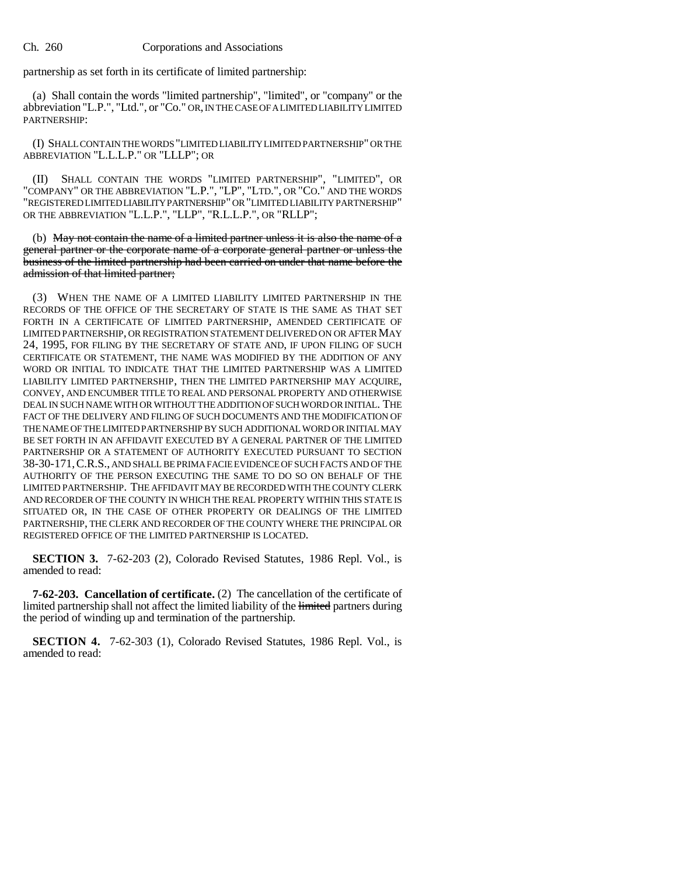partnership as set forth in its certificate of limited partnership:

(a) Shall contain the words "limited partnership", "limited", or "company" or the abbreviation "L.P.", "Ltd.", or "Co." OR, IN THE CASE OF A LIMITED LIABILITY LIMITED PARTNERSHIP:

(I) SHALL CONTAIN THE WORDS "LIMITED LIABILITY LIMITED PARTNERSHIP" OR THE ABBREVIATION "L.L.L.P." OR "LLLP"; OR

(II) SHALL CONTAIN THE WORDS "LIMITED PARTNERSHIP", "LIMITED", OR "COMPANY" OR THE ABBREVIATION "L.P.", "LP", "LTD.", OR "CO." AND THE WORDS "REGISTERED LIMITED LIABILITY PARTNERSHIP" OR "LIMITED LIABILITY PARTNERSHIP" OR THE ABBREVIATION "L.L.P.", "LLP", "R.L.L.P.", OR "RLLP";

(b) May not contain the name of a limited partner unless it is also the name of a general partner or the corporate name of a corporate general partner or unless the business of the limited partnership had been carried on under that name before the admission of that limited partner;

(3) WHEN THE NAME OF A LIMITED LIABILITY LIMITED PARTNERSHIP IN THE RECORDS OF THE OFFICE OF THE SECRETARY OF STATE IS THE SAME AS THAT SET FORTH IN A CERTIFICATE OF LIMITED PARTNERSHIP, AMENDED CERTIFICATE OF LIMITED PARTNERSHIP, OR REGISTRATION STATEMENT DELIVERED ON OR AFTER MAY 24, 1995, FOR FILING BY THE SECRETARY OF STATE AND, IF UPON FILING OF SUCH CERTIFICATE OR STATEMENT, THE NAME WAS MODIFIED BY THE ADDITION OF ANY WORD OR INITIAL TO INDICATE THAT THE LIMITED PARTNERSHIP WAS A LIMITED LIABILITY LIMITED PARTNERSHIP, THEN THE LIMITED PARTNERSHIP MAY ACQUIRE, CONVEY, AND ENCUMBER TITLE TO REAL AND PERSONAL PROPERTY AND OTHERWISE DEAL IN SUCH NAME WITH OR WITHOUT THE ADDITION OF SUCH WORD OR INITIAL. THE FACT OF THE DELIVERY AND FILING OF SUCH DOCUMENTS AND THE MODIFICATION OF THE NAME OF THE LIMITED PARTNERSHIP BY SUCH ADDITIONAL WORD OR INITIAL MAY BE SET FORTH IN AN AFFIDAVIT EXECUTED BY A GENERAL PARTNER OF THE LIMITED PARTNERSHIP OR A STATEMENT OF AUTHORITY EXECUTED PURSUANT TO SECTION 38-30-171,C.R.S., AND SHALL BE PRIMA FACIE EVIDENCE OF SUCH FACTS AND OF THE AUTHORITY OF THE PERSON EXECUTING THE SAME TO DO SO ON BEHALF OF THE LIMITED PARTNERSHIP. THE AFFIDAVIT MAY BE RECORDED WITH THE COUNTY CLERK AND RECORDER OF THE COUNTY IN WHICH THE REAL PROPERTY WITHIN THIS STATE IS SITUATED OR, IN THE CASE OF OTHER PROPERTY OR DEALINGS OF THE LIMITED PARTNERSHIP, THE CLERK AND RECORDER OF THE COUNTY WHERE THE PRINCIPAL OR REGISTERED OFFICE OF THE LIMITED PARTNERSHIP IS LOCATED.

**SECTION 3.** 7-62-203 (2), Colorado Revised Statutes, 1986 Repl. Vol., is amended to read:

**7-62-203. Cancellation of certificate.** (2) The cancellation of the certificate of limited partnership shall not affect the limited liability of the limited partners during the period of winding up and termination of the partnership.

**SECTION 4.** 7-62-303 (1), Colorado Revised Statutes, 1986 Repl. Vol., is amended to read: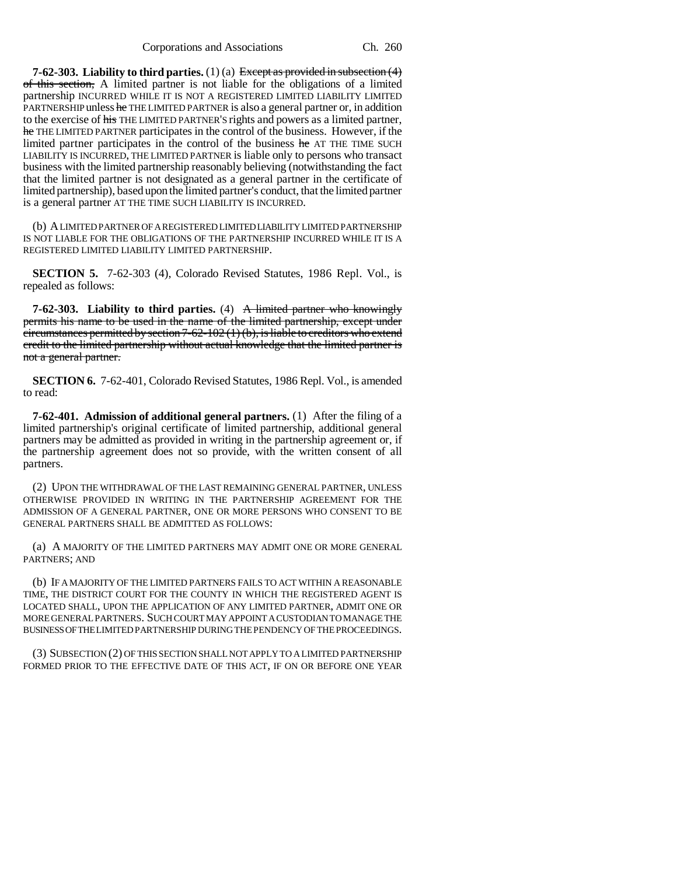**7-62-303. Liability to third parties.** (1) (a) Except as provided in subsection (4) of this section, A limited partner is not liable for the obligations of a limited partnership INCURRED WHILE IT IS NOT A REGISTERED LIMITED LIABILITY LIMITED PARTNERSHIP unless he THE LIMITED PARTNER is also a general partner or, in addition to the exercise of his THE LIMITED PARTNER'S rights and powers as a limited partner, he THE LIMITED PARTNER participates in the control of the business. However, if the limited partner participates in the control of the business he AT THE TIME SUCH LIABILITY IS INCURRED, THE LIMITED PARTNER is liable only to persons who transact business with the limited partnership reasonably believing (notwithstanding the fact that the limited partner is not designated as a general partner in the certificate of limited partnership), based upon the limited partner's conduct, that the limited partner is a general partner AT THE TIME SUCH LIABILITY IS INCURRED.

(b) A LIMITED PARTNER OF A REGISTERED LIMITED LIABILITY LIMITED PARTNERSHIP IS NOT LIABLE FOR THE OBLIGATIONS OF THE PARTNERSHIP INCURRED WHILE IT IS A REGISTERED LIMITED LIABILITY LIMITED PARTNERSHIP.

**SECTION 5.** 7-62-303 (4), Colorado Revised Statutes, 1986 Repl. Vol., is repealed as follows:

**7-62-303. Liability to third parties.** (4) A limited partner who knowingly permits his name to be used in the name of the limited partnership, except under  $circumstances permitted by section 7-62-102(1)(b), is liable to creditors who extend$ credit to the limited partnership without actual knowledge that the limited partner is not a general partner.

**SECTION 6.** 7-62-401, Colorado Revised Statutes, 1986 Repl. Vol., is amended to read:

**7-62-401. Admission of additional general partners.** (1) After the filing of a limited partnership's original certificate of limited partnership, additional general partners may be admitted as provided in writing in the partnership agreement or, if the partnership agreement does not so provide, with the written consent of all partners.

(2) UPON THE WITHDRAWAL OF THE LAST REMAINING GENERAL PARTNER, UNLESS OTHERWISE PROVIDED IN WRITING IN THE PARTNERSHIP AGREEMENT FOR THE ADMISSION OF A GENERAL PARTNER, ONE OR MORE PERSONS WHO CONSENT TO BE GENERAL PARTNERS SHALL BE ADMITTED AS FOLLOWS:

(a) A MAJORITY OF THE LIMITED PARTNERS MAY ADMIT ONE OR MORE GENERAL PARTNERS; AND

(b) IF A MAJORITY OF THE LIMITED PARTNERS FAILS TO ACT WITHIN A REASONABLE TIME, THE DISTRICT COURT FOR THE COUNTY IN WHICH THE REGISTERED AGENT IS LOCATED SHALL, UPON THE APPLICATION OF ANY LIMITED PARTNER, ADMIT ONE OR MORE GENERAL PARTNERS. SUCH COURT MAY APPOINT A CUSTODIAN TO MANAGE THE BUSINESS OF THE LIMITED PARTNERSHIP DURING THE PENDENCY OF THE PROCEEDINGS.

(3) SUBSECTION (2) OF THIS SECTION SHALL NOT APPLY TO A LIMITED PARTNERSHIP FORMED PRIOR TO THE EFFECTIVE DATE OF THIS ACT, IF ON OR BEFORE ONE YEAR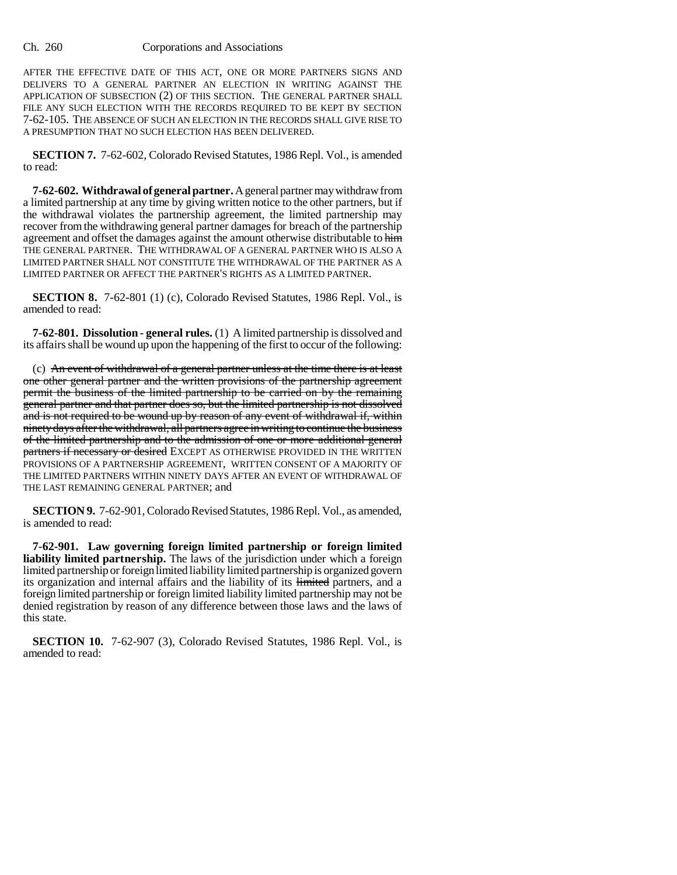AFTER THE EFFECTIVE DATE OF THIS ACT, ONE OR MORE PARTNERS SIGNS AND DELIVERS TO A GENERAL PARTNER AN ELECTION IN WRITING AGAINST THE APPLICATION OF SUBSECTION (2) OF THIS SECTION. THE GENERAL PARTNER SHALL FILE ANY SUCH ELECTION WITH THE RECORDS REQUIRED TO BE KEPT BY SECTION 7-62-105. THE ABSENCE OF SUCH AN ELECTION IN THE RECORDS SHALL GIVE RISE TO A PRESUMPTION THAT NO SUCH ELECTION HAS BEEN DELIVERED.

**SECTION 7.** 7-62-602, Colorado Revised Statutes, 1986 Repl. Vol., is amended to read:

**7-62-602. Withdrawal of general partner.** A general partner may withdraw from a limited partnership at any time by giving written notice to the other partners, but if the withdrawal violates the partnership agreement, the limited partnership may recover from the withdrawing general partner damages for breach of the partnership agreement and offset the damages against the amount otherwise distributable to him THE GENERAL PARTNER. THE WITHDRAWAL OF A GENERAL PARTNER WHO IS ALSO A LIMITED PARTNER SHALL NOT CONSTITUTE THE WITHDRAWAL OF THE PARTNER AS A LIMITED PARTNER OR AFFECT THE PARTNER'S RIGHTS AS A LIMITED PARTNER.

**SECTION 8.** 7-62-801 (1) (c), Colorado Revised Statutes, 1986 Repl. Vol., is amended to read:

**7-62-801. Dissolution - general rules.** (1) A limited partnership is dissolved and its affairs shall be wound up upon the happening of the first to occur of the following:

(c) An event of withdrawal of a general partner unless at the time there is at least one other general partner and the written provisions of the partnership agreement permit the business of the limited partnership to be carried on by the remaining general partner and that partner does so, but the limited partnership is not dissolved and is not required to be wound up by reason of any event of withdrawal if, within ninety days after the withdrawal, all partners agree in writing to continue the business of the limited partnership and to the admission of one or more additional general partners if necessary or desired EXCEPT AS OTHERWISE PROVIDED IN THE WRITTEN PROVISIONS OF A PARTNERSHIP AGREEMENT, WRITTEN CONSENT OF A MAJORITY OF THE LIMITED PARTNERS WITHIN NINETY DAYS AFTER AN EVENT OF WITHDRAWAL OF THE LAST REMAINING GENERAL PARTNER; and

**SECTION 9.** 7-62-901, Colorado Revised Statutes, 1986 Repl. Vol., as amended, is amended to read:

**7-62-901. Law governing foreign limited partnership or foreign limited liability limited partnership.** The laws of the jurisdiction under which a foreign limited partnership or foreign limited liability limited partnership is organized govern its organization and internal affairs and the liability of its limited partners, and a foreign limited partnership or foreign limited liability limited partnership may not be denied registration by reason of any difference between those laws and the laws of this state.

**SECTION 10.** 7-62-907 (3), Colorado Revised Statutes, 1986 Repl. Vol., is amended to read: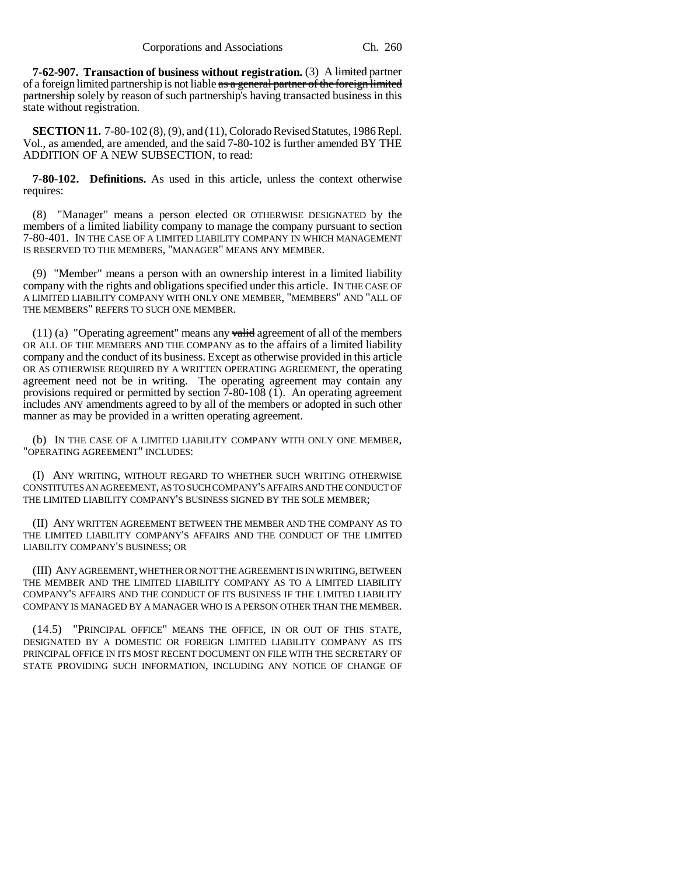**7-62-907. Transaction of business without registration.** (3) A limited partner of a foreign limited partnership is not liable as a general partner of the foreign limited partnership solely by reason of such partnership's having transacted business in this state without registration.

**SECTION 11.** 7-80-102 (8), (9), and (11), Colorado Revised Statutes, 1986 Repl. Vol., as amended, are amended, and the said 7-80-102 is further amended BY THE ADDITION OF A NEW SUBSECTION, to read:

**7-80-102. Definitions.** As used in this article, unless the context otherwise requires:

(8) "Manager" means a person elected OR OTHERWISE DESIGNATED by the members of a limited liability company to manage the company pursuant to section 7-80-401. IN THE CASE OF A LIMITED LIABILITY COMPANY IN WHICH MANAGEMENT IS RESERVED TO THE MEMBERS, "MANAGER" MEANS ANY MEMBER.

(9) "Member" means a person with an ownership interest in a limited liability company with the rights and obligations specified under this article. IN THE CASE OF A LIMITED LIABILITY COMPANY WITH ONLY ONE MEMBER, "MEMBERS" AND "ALL OF THE MEMBERS" REFERS TO SUCH ONE MEMBER.

(11) (a) "Operating agreement" means any  $\overline{\text{valid}}$  agreement of all of the members OR ALL OF THE MEMBERS AND THE COMPANY as to the affairs of a limited liability company and the conduct of its business. Except as otherwise provided in this article OR AS OTHERWISE REQUIRED BY A WRITTEN OPERATING AGREEMENT, the operating agreement need not be in writing. The operating agreement may contain any provisions required or permitted by section  $7-80-108$  (1). An operating agreement includes ANY amendments agreed to by all of the members or adopted in such other manner as may be provided in a written operating agreement.

(b) IN THE CASE OF A LIMITED LIABILITY COMPANY WITH ONLY ONE MEMBER, "OPERATING AGREEMENT" INCLUDES:

(I) ANY WRITING, WITHOUT REGARD TO WHETHER SUCH WRITING OTHERWISE CONSTITUTES AN AGREEMENT, AS TO SUCH COMPANY'S AFFAIRS AND THE CONDUCT OF THE LIMITED LIABILITY COMPANY'S BUSINESS SIGNED BY THE SOLE MEMBER;

(II) ANY WRITTEN AGREEMENT BETWEEN THE MEMBER AND THE COMPANY AS TO THE LIMITED LIABILITY COMPANY'S AFFAIRS AND THE CONDUCT OF THE LIMITED LIABILITY COMPANY'S BUSINESS; OR

(III) ANY AGREEMENT, WHETHER OR NOT THE AGREEMENT IS IN WRITING, BETWEEN THE MEMBER AND THE LIMITED LIABILITY COMPANY AS TO A LIMITED LIABILITY COMPANY'S AFFAIRS AND THE CONDUCT OF ITS BUSINESS IF THE LIMITED LIABILITY COMPANY IS MANAGED BY A MANAGER WHO IS A PERSON OTHER THAN THE MEMBER.

(14.5) "PRINCIPAL OFFICE" MEANS THE OFFICE, IN OR OUT OF THIS STATE, DESIGNATED BY A DOMESTIC OR FOREIGN LIMITED LIABILITY COMPANY AS ITS PRINCIPAL OFFICE IN ITS MOST RECENT DOCUMENT ON FILE WITH THE SECRETARY OF STATE PROVIDING SUCH INFORMATION, INCLUDING ANY NOTICE OF CHANGE OF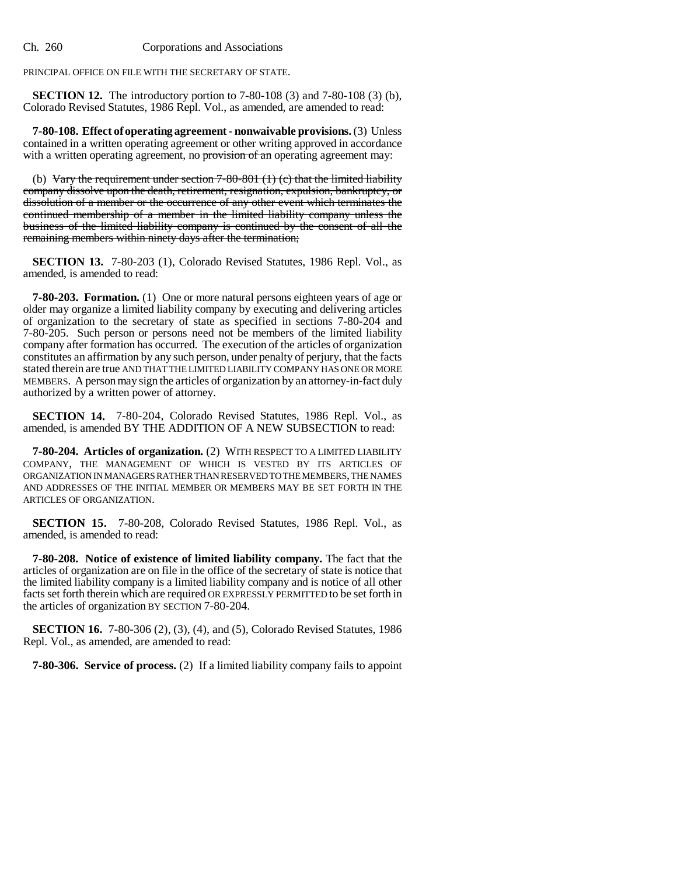PRINCIPAL OFFICE ON FILE WITH THE SECRETARY OF STATE.

**SECTION 12.** The introductory portion to 7-80-108 (3) and 7-80-108 (3) (b), Colorado Revised Statutes, 1986 Repl. Vol., as amended, are amended to read:

**7-80-108. Effect of operating agreement - nonwaivable provisions.** (3) Unless contained in a written operating agreement or other writing approved in accordance with a written operating agreement, no provision of an operating agreement may:

(b) Vary the requirement under section  $7-80-801$  (1) (c) that the limited liability company dissolve upon the death, retirement, resignation, expulsion, bankruptcy, or dissolution of a member or the occurrence of any other event which terminates the continued membership of a member in the limited liability company unless the business of the limited liability company is continued by the consent of all the remaining members within ninety days after the termination;

**SECTION 13.** 7-80-203 (1), Colorado Revised Statutes, 1986 Repl. Vol., as amended, is amended to read:

**7-80-203. Formation.** (1) One or more natural persons eighteen years of age or older may organize a limited liability company by executing and delivering articles of organization to the secretary of state as specified in sections 7-80-204 and 7-80-205. Such person or persons need not be members of the limited liability company after formation has occurred. The execution of the articles of organization constitutes an affirmation by any such person, under penalty of perjury, that the facts stated therein are true AND THAT THE LIMITED LIABILITY COMPANY HAS ONE OR MORE MEMBERS. A person may sign the articles of organization by an attorney-in-fact duly authorized by a written power of attorney.

**SECTION 14.** 7-80-204, Colorado Revised Statutes, 1986 Repl. Vol., as amended, is amended BY THE ADDITION OF A NEW SUBSECTION to read:

**7-80-204. Articles of organization.** (2) WITH RESPECT TO A LIMITED LIABILITY COMPANY, THE MANAGEMENT OF WHICH IS VESTED BY ITS ARTICLES OF ORGANIZATION IN MANAGERS RATHER THAN RESERVED TO THE MEMBERS, THE NAMES AND ADDRESSES OF THE INITIAL MEMBER OR MEMBERS MAY BE SET FORTH IN THE ARTICLES OF ORGANIZATION.

**SECTION 15.** 7-80-208, Colorado Revised Statutes, 1986 Repl. Vol., as amended, is amended to read:

**7-80-208. Notice of existence of limited liability company.** The fact that the articles of organization are on file in the office of the secretary of state is notice that the limited liability company is a limited liability company and is notice of all other facts set forth therein which are required OR EXPRESSLY PERMITTED to be set forth in the articles of organization BY SECTION 7-80-204.

**SECTION 16.** 7-80-306 (2), (3), (4), and (5), Colorado Revised Statutes, 1986 Repl. Vol., as amended, are amended to read:

**7-80-306. Service of process.** (2) If a limited liability company fails to appoint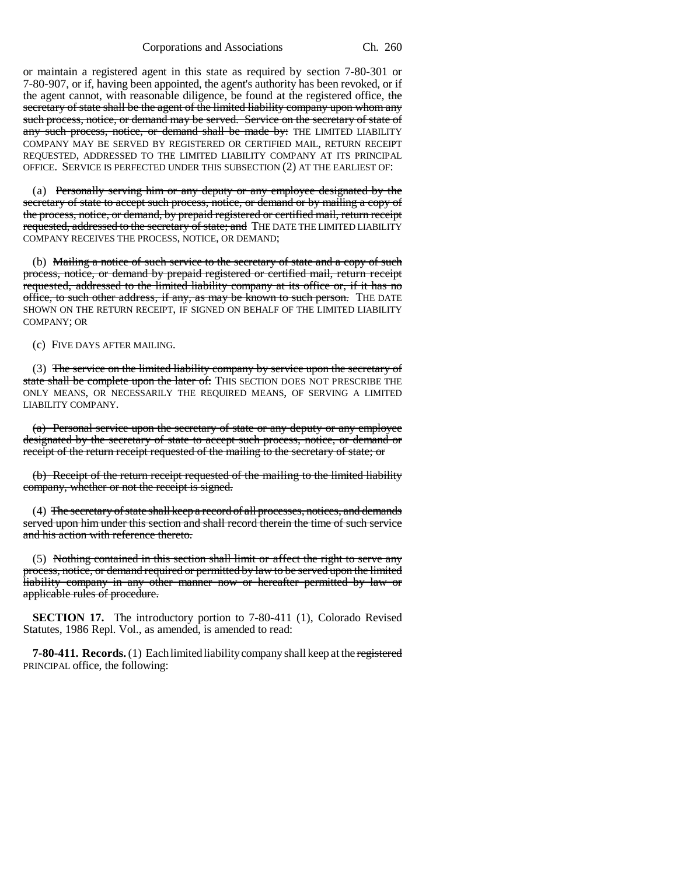Corporations and Associations Ch. 260

or maintain a registered agent in this state as required by section 7-80-301 or 7-80-907, or if, having been appointed, the agent's authority has been revoked, or if the agent cannot, with reasonable diligence, be found at the registered office, the secretary of state shall be the agent of the limited liability company upon whom any such process, notice, or demand may be served. Service on the secretary of state of any such process, notice, or demand shall be made by: THE LIMITED LIABILITY COMPANY MAY BE SERVED BY REGISTERED OR CERTIFIED MAIL, RETURN RECEIPT REQUESTED, ADDRESSED TO THE LIMITED LIABILITY COMPANY AT ITS PRINCIPAL OFFICE. SERVICE IS PERFECTED UNDER THIS SUBSECTION (2) AT THE EARLIEST OF:

(a) Personally serving him or any deputy or any employee designated by the secretary of state to accept such process, notice, or demand or by mailing a copy of the process, notice, or demand, by prepaid registered or certified mail, return receipt requested, addressed to the secretary of state; and THE DATE THE LIMITED LIABILITY COMPANY RECEIVES THE PROCESS, NOTICE, OR DEMAND;

(b) Mailing a notice of such service to the secretary of state and a copy of such process, notice, or demand by prepaid registered or certified mail, return receipt requested, addressed to the limited liability company at its office or, if it has no office, to such other address, if any, as may be known to such person. THE DATE SHOWN ON THE RETURN RECEIPT, IF SIGNED ON BEHALF OF THE LIMITED LIABILITY COMPANY; OR

(c) FIVE DAYS AFTER MAILING.

(3) The service on the limited liability company by service upon the secretary of state shall be complete upon the later of: THIS SECTION DOES NOT PRESCRIBE THE ONLY MEANS, OR NECESSARILY THE REQUIRED MEANS, OF SERVING A LIMITED LIABILITY COMPANY.

(a) Personal service upon the secretary of state or any deputy or any employee designated by the secretary of state to accept such process, notice, or demand or receipt of the return receipt requested of the mailing to the secretary of state; or

(b) Receipt of the return receipt requested of the mailing to the limited liability company, whether or not the receipt is signed.

(4) The secretary of state shall keep a record of all processes, notices, and demands served upon him under this section and shall record therein the time of such service and his action with reference thereto.

(5) Nothing contained in this section shall limit or affect the right to serve any process, notice, or demand required or permitted by law to be served upon the limited liability company in any other manner now or hereafter permitted by law or applicable rules of procedure.

**SECTION 17.** The introductory portion to 7-80-411 (1), Colorado Revised Statutes, 1986 Repl. Vol., as amended, is amended to read:

**7-80-411. Records.** (1) Each limited liability company shall keep at the registered PRINCIPAL office, the following: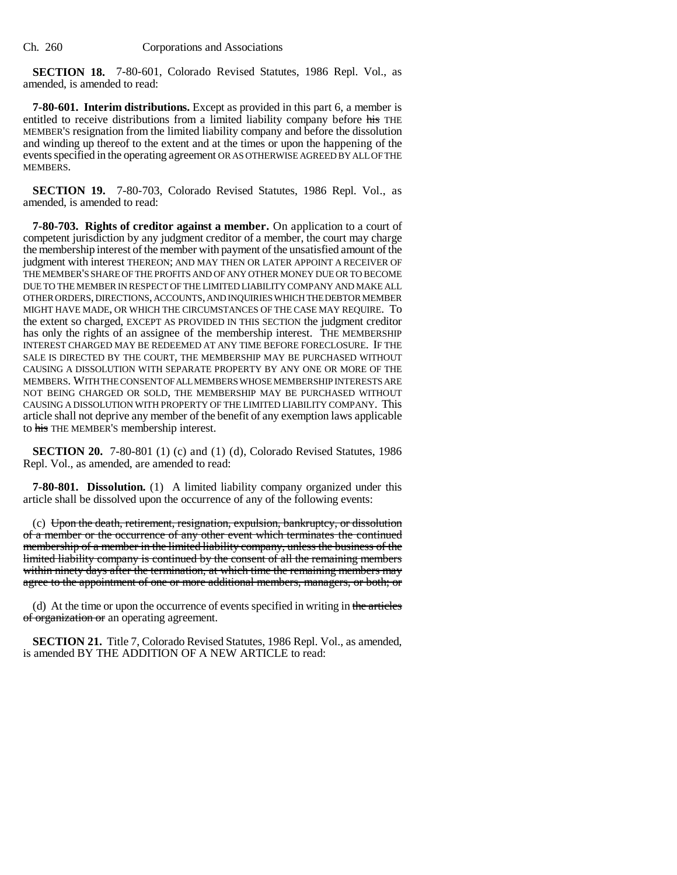**SECTION 18.** 7-80-601, Colorado Revised Statutes, 1986 Repl. Vol., as amended, is amended to read:

**7-80-601. Interim distributions.** Except as provided in this part 6, a member is entitled to receive distributions from a limited liability company before his THE MEMBER'S resignation from the limited liability company and before the dissolution and winding up thereof to the extent and at the times or upon the happening of the events specified in the operating agreement OR AS OTHERWISE AGREED BY ALL OF THE MEMBERS.

**SECTION 19.** 7-80-703, Colorado Revised Statutes, 1986 Repl. Vol., as amended, is amended to read:

**7-80-703. Rights of creditor against a member.** On application to a court of competent jurisdiction by any judgment creditor of a member, the court may charge the membership interest of the member with payment of the unsatisfied amount of the judgment with interest THEREON; AND MAY THEN OR LATER APPOINT A RECEIVER OF THE MEMBER'S SHARE OF THE PROFITS AND OF ANY OTHER MONEY DUE OR TO BECOME DUE TO THE MEMBER IN RESPECT OF THE LIMITED LIABILITY COMPANY AND MAKE ALL OTHER ORDERS, DIRECTIONS, ACCOUNTS, AND INQUIRIES WHICH THE DEBTOR MEMBER MIGHT HAVE MADE, OR WHICH THE CIRCUMSTANCES OF THE CASE MAY REQUIRE. To the extent so charged, EXCEPT AS PROVIDED IN THIS SECTION the judgment creditor has only the rights of an assignee of the membership interest. THE MEMBERSHIP INTEREST CHARGED MAY BE REDEEMED AT ANY TIME BEFORE FORECLOSURE. IF THE SALE IS DIRECTED BY THE COURT, THE MEMBERSHIP MAY BE PURCHASED WITHOUT CAUSING A DISSOLUTION WITH SEPARATE PROPERTY BY ANY ONE OR MORE OF THE MEMBERS. WITH THE CONSENT OF ALL MEMBERS WHOSE MEMBERSHIP INTERESTS ARE NOT BEING CHARGED OR SOLD, THE MEMBERSHIP MAY BE PURCHASED WITHOUT CAUSING A DISSOLUTION WITH PROPERTY OF THE LIMITED LIABILITY COMPANY. This article shall not deprive any member of the benefit of any exemption laws applicable to his THE MEMBER'S membership interest.

**SECTION 20.** 7-80-801 (1) (c) and (1) (d), Colorado Revised Statutes, 1986 Repl. Vol., as amended, are amended to read:

**7-80-801. Dissolution.** (1) A limited liability company organized under this article shall be dissolved upon the occurrence of any of the following events:

(c) Upon the death, retirement, resignation, expulsion, bankruptcy, or dissolution of a member or the occurrence of any other event which terminates the continued membership of a member in the limited liability company, unless the business of the limited liability company is continued by the consent of all the remaining members within ninety days after the termination, at which time the remaining members may agree to the appointment of one or more additional members, managers, or both; or

(d) At the time or upon the occurrence of events specified in writing in the articles of organization or an operating agreement.

**SECTION 21.** Title 7, Colorado Revised Statutes, 1986 Repl. Vol., as amended, is amended BY THE ADDITION OF A NEW ARTICLE to read: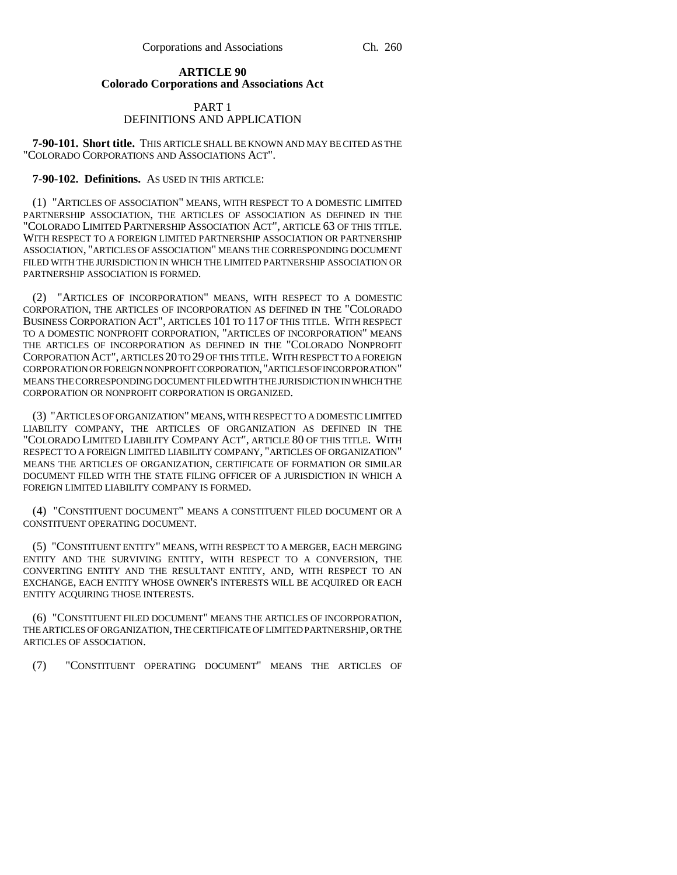### **ARTICLE 90 Colorado Corporations and Associations Act**

### PART 1 DEFINITIONS AND APPLICATION

**7-90-101. Short title.** THIS ARTICLE SHALL BE KNOWN AND MAY BE CITED AS THE "COLORADO CORPORATIONS AND ASSOCIATIONS ACT".

### **7-90-102. Definitions.** AS USED IN THIS ARTICLE:

(1) "ARTICLES OF ASSOCIATION" MEANS, WITH RESPECT TO A DOMESTIC LIMITED PARTNERSHIP ASSOCIATION, THE ARTICLES OF ASSOCIATION AS DEFINED IN THE "COLORADO LIMITED PARTNERSHIP ASSOCIATION ACT", ARTICLE 63 OF THIS TITLE. WITH RESPECT TO A FOREIGN LIMITED PARTNERSHIP ASSOCIATION OR PARTNERSHIP ASSOCIATION, "ARTICLES OF ASSOCIATION" MEANS THE CORRESPONDING DOCUMENT FILED WITH THE JURISDICTION IN WHICH THE LIMITED PARTNERSHIP ASSOCIATION OR PARTNERSHIP ASSOCIATION IS FORMED.

(2) "ARTICLES OF INCORPORATION" MEANS, WITH RESPECT TO A DOMESTIC CORPORATION, THE ARTICLES OF INCORPORATION AS DEFINED IN THE "COLORADO BUSINESS CORPORATION ACT", ARTICLES 101 TO 117 OF THIS TITLE. WITH RESPECT TO A DOMESTIC NONPROFIT CORPORATION, "ARTICLES OF INCORPORATION" MEANS THE ARTICLES OF INCORPORATION AS DEFINED IN THE "COLORADO NONPROFIT CORPORATION ACT", ARTICLES 20 TO 29 OF THIS TITLE. WITH RESPECT TO A FOREIGN CORPORATION OR FOREIGN NONPROFIT CORPORATION,"ARTICLES OF INCORPORATION" MEANS THE CORRESPONDING DOCUMENT FILED WITH THE JURISDICTION IN WHICH THE CORPORATION OR NONPROFIT CORPORATION IS ORGANIZED.

(3) "ARTICLES OF ORGANIZATION" MEANS, WITH RESPECT TO A DOMESTIC LIMITED LIABILITY COMPANY, THE ARTICLES OF ORGANIZATION AS DEFINED IN THE "COLORADO LIMITED LIABILITY COMPANY ACT", ARTICLE 80 OF THIS TITLE. WITH RESPECT TO A FOREIGN LIMITED LIABILITY COMPANY, "ARTICLES OF ORGANIZATION" MEANS THE ARTICLES OF ORGANIZATION, CERTIFICATE OF FORMATION OR SIMILAR DOCUMENT FILED WITH THE STATE FILING OFFICER OF A JURISDICTION IN WHICH A FOREIGN LIMITED LIABILITY COMPANY IS FORMED.

(4) "CONSTITUENT DOCUMENT" MEANS A CONSTITUENT FILED DOCUMENT OR A CONSTITUENT OPERATING DOCUMENT.

(5) "CONSTITUENT ENTITY" MEANS, WITH RESPECT TO A MERGER, EACH MERGING ENTITY AND THE SURVIVING ENTITY, WITH RESPECT TO A CONVERSION, THE CONVERTING ENTITY AND THE RESULTANT ENTITY, AND, WITH RESPECT TO AN EXCHANGE, EACH ENTITY WHOSE OWNER'S INTERESTS WILL BE ACQUIRED OR EACH ENTITY ACQUIRING THOSE INTERESTS.

(6) "CONSTITUENT FILED DOCUMENT" MEANS THE ARTICLES OF INCORPORATION, THE ARTICLES OF ORGANIZATION, THE CERTIFICATE OF LIMITED PARTNERSHIP, OR THE ARTICLES OF ASSOCIATION.

(7) "CONSTITUENT OPERATING DOCUMENT" MEANS THE ARTICLES OF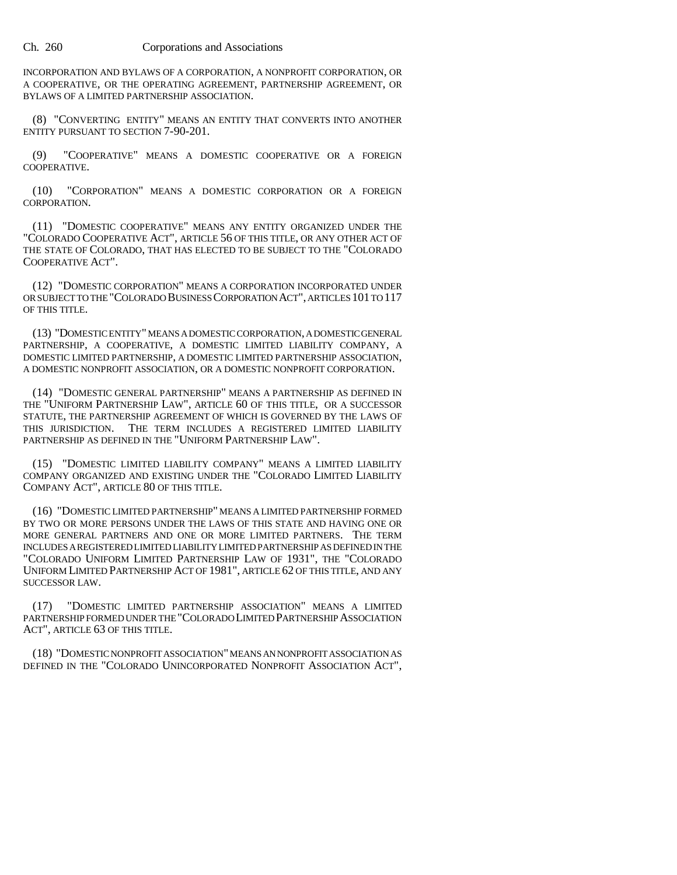INCORPORATION AND BYLAWS OF A CORPORATION, A NONPROFIT CORPORATION, OR A COOPERATIVE, OR THE OPERATING AGREEMENT, PARTNERSHIP AGREEMENT, OR BYLAWS OF A LIMITED PARTNERSHIP ASSOCIATION.

(8) "CONVERTING ENTITY" MEANS AN ENTITY THAT CONVERTS INTO ANOTHER ENTITY PURSUANT TO SECTION 7-90-201.

(9) "COOPERATIVE" MEANS A DOMESTIC COOPERATIVE OR A FOREIGN COOPERATIVE.

(10) "CORPORATION" MEANS A DOMESTIC CORPORATION OR A FOREIGN CORPORATION.

(11) "DOMESTIC COOPERATIVE" MEANS ANY ENTITY ORGANIZED UNDER THE "COLORADO COOPERATIVE ACT", ARTICLE 56 OF THIS TITLE, OR ANY OTHER ACT OF THE STATE OF COLORADO, THAT HAS ELECTED TO BE SUBJECT TO THE "COLORADO COOPERATIVE ACT".

(12) "DOMESTIC CORPORATION" MEANS A CORPORATION INCORPORATED UNDER OR SUBJECT TO THE "COLORADO BUSINESS CORPORATION ACT", ARTICLES 101 TO 117 OF THIS TITLE.

(13) "DOMESTIC ENTITY" MEANS A DOMESTIC CORPORATION, A DOMESTIC GENERAL PARTNERSHIP, A COOPERATIVE, A DOMESTIC LIMITED LIABILITY COMPANY, A DOMESTIC LIMITED PARTNERSHIP, A DOMESTIC LIMITED PARTNERSHIP ASSOCIATION, A DOMESTIC NONPROFIT ASSOCIATION, OR A DOMESTIC NONPROFIT CORPORATION.

(14) "DOMESTIC GENERAL PARTNERSHIP" MEANS A PARTNERSHIP AS DEFINED IN THE "UNIFORM PARTNERSHIP LAW", ARTICLE 60 OF THIS TITLE, OR A SUCCESSOR STATUTE, THE PARTNERSHIP AGREEMENT OF WHICH IS GOVERNED BY THE LAWS OF THIS JURISDICTION. THE TERM INCLUDES A REGISTERED LIMITED LIABILITY PARTNERSHIP AS DEFINED IN THE "UNIFORM PARTNERSHIP LAW".

(15) "DOMESTIC LIMITED LIABILITY COMPANY" MEANS A LIMITED LIABILITY COMPANY ORGANIZED AND EXISTING UNDER THE "COLORADO LIMITED LIABILITY COMPANY ACT", ARTICLE 80 OF THIS TITLE.

(16) "DOMESTIC LIMITED PARTNERSHIP" MEANS A LIMITED PARTNERSHIP FORMED BY TWO OR MORE PERSONS UNDER THE LAWS OF THIS STATE AND HAVING ONE OR MORE GENERAL PARTNERS AND ONE OR MORE LIMITED PARTNERS. THE TERM INCLUDES A REGISTERED LIMITED LIABILITY LIMITED PARTNERSHIP AS DEFINED IN THE "COLORADO UNIFORM LIMITED PARTNERSHIP LAW OF 1931", THE "COLORADO UNIFORM LIMITED PARTNERSHIP ACT OF 1981", ARTICLE 62 OF THIS TITLE, AND ANY SUCCESSOR LAW.

(17) "DOMESTIC LIMITED PARTNERSHIP ASSOCIATION" MEANS A LIMITED PARTNERSHIP FORMED UNDER THE "COLORADO LIMITED PARTNERSHIP ASSOCIATION ACT", ARTICLE 63 OF THIS TITLE.

(18) "DOMESTIC NONPROFIT ASSOCIATION" MEANS AN NONPROFIT ASSOCIATION AS DEFINED IN THE "COLORADO UNINCORPORATED NONPROFIT ASSOCIATION ACT",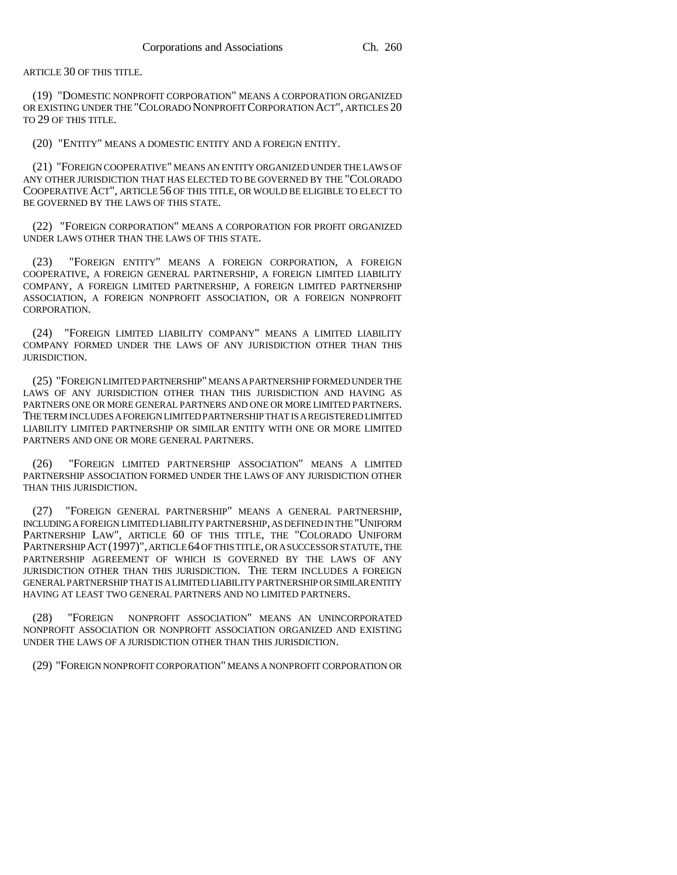ARTICLE 30 OF THIS TITLE.

(19) "DOMESTIC NONPROFIT CORPORATION" MEANS A CORPORATION ORGANIZED OR EXISTING UNDER THE "COLORADO NONPROFIT CORPORATION ACT", ARTICLES 20 TO 29 OF THIS TITLE.

(20) "ENTITY" MEANS A DOMESTIC ENTITY AND A FOREIGN ENTITY.

(21) "FOREIGN COOPERATIVE" MEANS AN ENTITY ORGANIZED UNDER THE LAWS OF ANY OTHER JURISDICTION THAT HAS ELECTED TO BE GOVERNED BY THE "COLORADO COOPERATIVE ACT", ARTICLE 56 OF THIS TITLE, OR WOULD BE ELIGIBLE TO ELECT TO BE GOVERNED BY THE LAWS OF THIS STATE.

(22) "FOREIGN CORPORATION" MEANS A CORPORATION FOR PROFIT ORGANIZED UNDER LAWS OTHER THAN THE LAWS OF THIS STATE.

(23) "FOREIGN ENTITY" MEANS A FOREIGN CORPORATION, A FOREIGN COOPERATIVE, A FOREIGN GENERAL PARTNERSHIP, A FOREIGN LIMITED LIABILITY COMPANY, A FOREIGN LIMITED PARTNERSHIP, A FOREIGN LIMITED PARTNERSHIP ASSOCIATION, A FOREIGN NONPROFIT ASSOCIATION, OR A FOREIGN NONPROFIT CORPORATION.

(24) "FOREIGN LIMITED LIABILITY COMPANY" MEANS A LIMITED LIABILITY COMPANY FORMED UNDER THE LAWS OF ANY JURISDICTION OTHER THAN THIS JURISDICTION.

(25) "FOREIGN LIMITED PARTNERSHIP" MEANS A PARTNERSHIP FORMED UNDER THE LAWS OF ANY JURISDICTION OTHER THAN THIS JURISDICTION AND HAVING AS PARTNERS ONE OR MORE GENERAL PARTNERS AND ONE OR MORE LIMITED PARTNERS. THE TERM INCLUDES A FOREIGN LIMITED PARTNERSHIP THAT IS A REGISTERED LIMITED LIABILITY LIMITED PARTNERSHIP OR SIMILAR ENTITY WITH ONE OR MORE LIMITED PARTNERS AND ONE OR MORE GENERAL PARTNERS.

(26) "FOREIGN LIMITED PARTNERSHIP ASSOCIATION" MEANS A LIMITED PARTNERSHIP ASSOCIATION FORMED UNDER THE LAWS OF ANY JURISDICTION OTHER THAN THIS JURISDICTION.

(27) "FOREIGN GENERAL PARTNERSHIP" MEANS A GENERAL PARTNERSHIP, INCLUDING A FOREIGN LIMITED LIABILITY PARTNERSHIP, AS DEFINED IN THE "UNIFORM PARTNERSHIP LAW", ARTICLE 60 OF THIS TITLE, THE "COLORADO UNIFORM PARTNERSHIP ACT (1997)", ARTICLE 64 OF THIS TITLE, OR A SUCCESSOR STATUTE, THE PARTNERSHIP AGREEMENT OF WHICH IS GOVERNED BY THE LAWS OF ANY JURISDICTION OTHER THAN THIS JURISDICTION. THE TERM INCLUDES A FOREIGN GENERAL PARTNERSHIP THAT IS A LIMITED LIABILITY PARTNERSHIP OR SIMILAR ENTITY HAVING AT LEAST TWO GENERAL PARTNERS AND NO LIMITED PARTNERS.

(28) "FOREIGN NONPROFIT ASSOCIATION" MEANS AN UNINCORPORATED NONPROFIT ASSOCIATION OR NONPROFIT ASSOCIATION ORGANIZED AND EXISTING UNDER THE LAWS OF A JURISDICTION OTHER THAN THIS JURISDICTION.

(29) "FOREIGN NONPROFIT CORPORATION" MEANS A NONPROFIT CORPORATION OR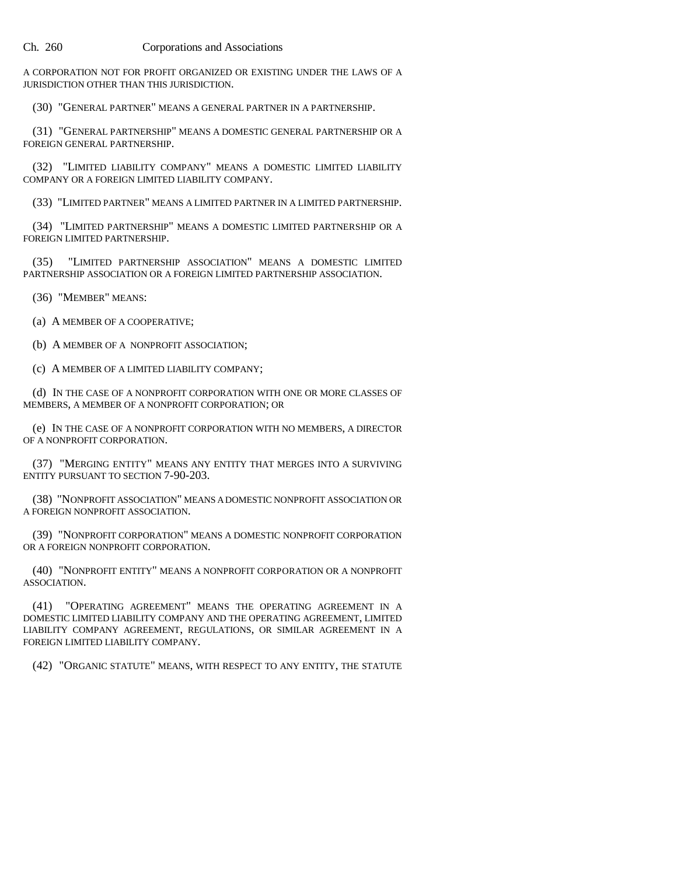A CORPORATION NOT FOR PROFIT ORGANIZED OR EXISTING UNDER THE LAWS OF A JURISDICTION OTHER THAN THIS JURISDICTION.

(30) "GENERAL PARTNER" MEANS A GENERAL PARTNER IN A PARTNERSHIP.

(31) "GENERAL PARTNERSHIP" MEANS A DOMESTIC GENERAL PARTNERSHIP OR A FOREIGN GENERAL PARTNERSHIP.

(32) "LIMITED LIABILITY COMPANY" MEANS A DOMESTIC LIMITED LIABILITY COMPANY OR A FOREIGN LIMITED LIABILITY COMPANY.

(33) "LIMITED PARTNER" MEANS A LIMITED PARTNER IN A LIMITED PARTNERSHIP.

(34) "LIMITED PARTNERSHIP" MEANS A DOMESTIC LIMITED PARTNERSHIP OR A FOREIGN LIMITED PARTNERSHIP.

(35) "LIMITED PARTNERSHIP ASSOCIATION" MEANS A DOMESTIC LIMITED PARTNERSHIP ASSOCIATION OR A FOREIGN LIMITED PARTNERSHIP ASSOCIATION.

(36) "MEMBER" MEANS:

(a) A MEMBER OF A COOPERATIVE;

(b) A MEMBER OF A NONPROFIT ASSOCIATION;

(c) A MEMBER OF A LIMITED LIABILITY COMPANY;

(d) IN THE CASE OF A NONPROFIT CORPORATION WITH ONE OR MORE CLASSES OF MEMBERS, A MEMBER OF A NONPROFIT CORPORATION; OR

(e) IN THE CASE OF A NONPROFIT CORPORATION WITH NO MEMBERS, A DIRECTOR OF A NONPROFIT CORPORATION.

(37) "MERGING ENTITY" MEANS ANY ENTITY THAT MERGES INTO A SURVIVING ENTITY PURSUANT TO SECTION 7-90-203.

(38) "NONPROFIT ASSOCIATION" MEANS A DOMESTIC NONPROFIT ASSOCIATION OR A FOREIGN NONPROFIT ASSOCIATION.

(39) "NONPROFIT CORPORATION" MEANS A DOMESTIC NONPROFIT CORPORATION OR A FOREIGN NONPROFIT CORPORATION.

(40) "NONPROFIT ENTITY" MEANS A NONPROFIT CORPORATION OR A NONPROFIT ASSOCIATION.

(41) "OPERATING AGREEMENT" MEANS THE OPERATING AGREEMENT IN A DOMESTIC LIMITED LIABILITY COMPANY AND THE OPERATING AGREEMENT, LIMITED LIABILITY COMPANY AGREEMENT, REGULATIONS, OR SIMILAR AGREEMENT IN A FOREIGN LIMITED LIABILITY COMPANY.

(42) "ORGANIC STATUTE" MEANS, WITH RESPECT TO ANY ENTITY, THE STATUTE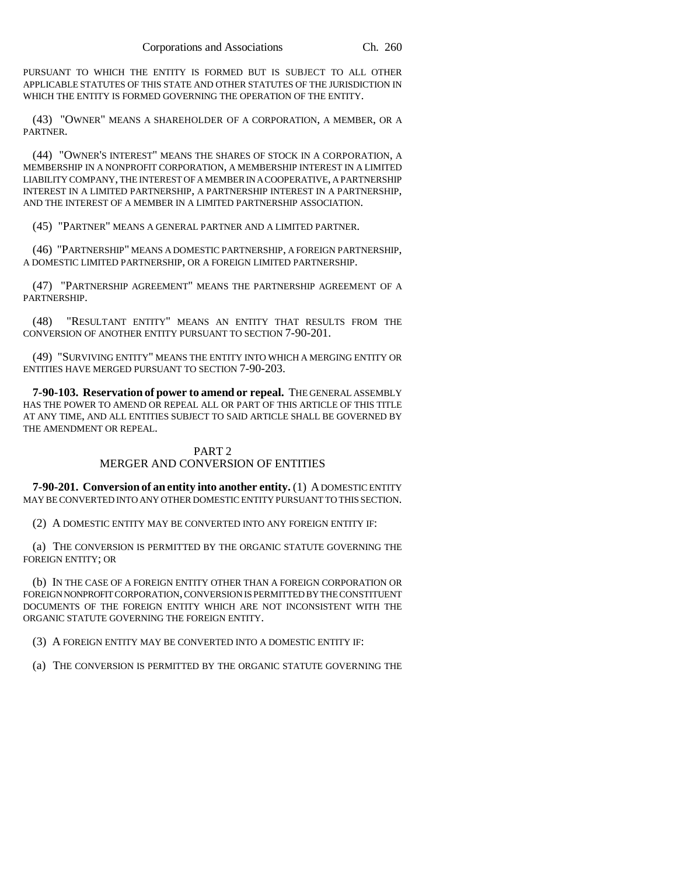PURSUANT TO WHICH THE ENTITY IS FORMED BUT IS SUBJECT TO ALL OTHER APPLICABLE STATUTES OF THIS STATE AND OTHER STATUTES OF THE JURISDICTION IN WHICH THE ENTITY IS FORMED GOVERNING THE OPERATION OF THE ENTITY.

(43) "OWNER" MEANS A SHAREHOLDER OF A CORPORATION, A MEMBER, OR A PARTNER.

(44) "OWNER'S INTEREST" MEANS THE SHARES OF STOCK IN A CORPORATION, A MEMBERSHIP IN A NONPROFIT CORPORATION, A MEMBERSHIP INTEREST IN A LIMITED LIABILITY COMPANY, THE INTEREST OF A MEMBER IN A COOPERATIVE, A PARTNERSHIP INTEREST IN A LIMITED PARTNERSHIP, A PARTNERSHIP INTEREST IN A PARTNERSHIP, AND THE INTEREST OF A MEMBER IN A LIMITED PARTNERSHIP ASSOCIATION.

(45) "PARTNER" MEANS A GENERAL PARTNER AND A LIMITED PARTNER.

(46) "PARTNERSHIP" MEANS A DOMESTIC PARTNERSHIP, A FOREIGN PARTNERSHIP, A DOMESTIC LIMITED PARTNERSHIP, OR A FOREIGN LIMITED PARTNERSHIP.

(47) "PARTNERSHIP AGREEMENT" MEANS THE PARTNERSHIP AGREEMENT OF A PARTNERSHIP.

(48) "RESULTANT ENTITY" MEANS AN ENTITY THAT RESULTS FROM THE CONVERSION OF ANOTHER ENTITY PURSUANT TO SECTION 7-90-201.

(49) "SURVIVING ENTITY" MEANS THE ENTITY INTO WHICH A MERGING ENTITY OR ENTITIES HAVE MERGED PURSUANT TO SECTION 7-90-203.

**7-90-103. Reservation of power to amend or repeal.** THE GENERAL ASSEMBLY HAS THE POWER TO AMEND OR REPEAL ALL OR PART OF THIS ARTICLE OF THIS TITLE AT ANY TIME, AND ALL ENTITIES SUBJECT TO SAID ARTICLE SHALL BE GOVERNED BY THE AMENDMENT OR REPEAL.

### PART 2 MERGER AND CONVERSION OF ENTITIES

**7-90-201. Conversion of an entity into another entity.** (1) A DOMESTIC ENTITY MAY BE CONVERTED INTO ANY OTHER DOMESTIC ENTITY PURSUANT TO THIS SECTION.

(2) A DOMESTIC ENTITY MAY BE CONVERTED INTO ANY FOREIGN ENTITY IF:

(a) THE CONVERSION IS PERMITTED BY THE ORGANIC STATUTE GOVERNING THE FOREIGN ENTITY; OR

(b) IN THE CASE OF A FOREIGN ENTITY OTHER THAN A FOREIGN CORPORATION OR FOREIGN NONPROFIT CORPORATION, CONVERSION IS PERMITTED BY THE CONSTITUENT DOCUMENTS OF THE FOREIGN ENTITY WHICH ARE NOT INCONSISTENT WITH THE ORGANIC STATUTE GOVERNING THE FOREIGN ENTITY.

(3) A FOREIGN ENTITY MAY BE CONVERTED INTO A DOMESTIC ENTITY IF:

(a) THE CONVERSION IS PERMITTED BY THE ORGANIC STATUTE GOVERNING THE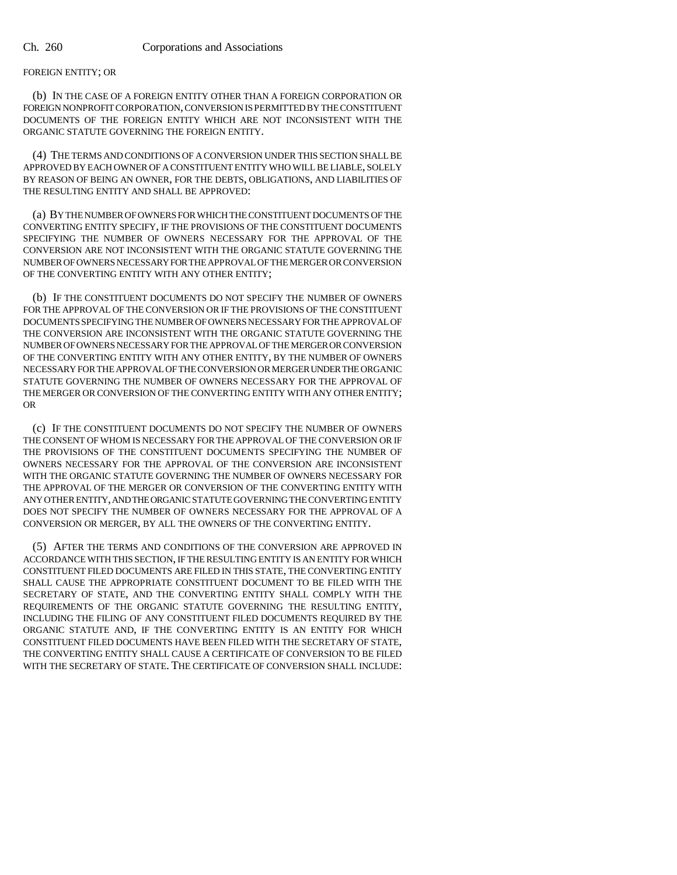### FOREIGN ENTITY; OR

(b) IN THE CASE OF A FOREIGN ENTITY OTHER THAN A FOREIGN CORPORATION OR FOREIGN NONPROFIT CORPORATION, CONVERSION IS PERMITTED BY THE CONSTITUENT DOCUMENTS OF THE FOREIGN ENTITY WHICH ARE NOT INCONSISTENT WITH THE ORGANIC STATUTE GOVERNING THE FOREIGN ENTITY.

(4) THE TERMS AND CONDITIONS OF A CONVERSION UNDER THIS SECTION SHALL BE APPROVED BY EACH OWNER OF A CONSTITUENT ENTITY WHO WILL BE LIABLE, SOLELY BY REASON OF BEING AN OWNER, FOR THE DEBTS, OBLIGATIONS, AND LIABILITIES OF THE RESULTING ENTITY AND SHALL BE APPROVED:

(a) BY THE NUMBER OF OWNERS FOR WHICH THE CONSTITUENT DOCUMENTS OF THE CONVERTING ENTITY SPECIFY, IF THE PROVISIONS OF THE CONSTITUENT DOCUMENTS SPECIFYING THE NUMBER OF OWNERS NECESSARY FOR THE APPROVAL OF THE CONVERSION ARE NOT INCONSISTENT WITH THE ORGANIC STATUTE GOVERNING THE NUMBER OF OWNERS NECESSARY FOR THE APPROVAL OF THE MERGER OR CONVERSION OF THE CONVERTING ENTITY WITH ANY OTHER ENTITY;

(b) IF THE CONSTITUENT DOCUMENTS DO NOT SPECIFY THE NUMBER OF OWNERS FOR THE APPROVAL OF THE CONVERSION OR IF THE PROVISIONS OF THE CONSTITUENT DOCUMENTS SPECIFYING THE NUMBER OF OWNERS NECESSARY FOR THE APPROVAL OF THE CONVERSION ARE INCONSISTENT WITH THE ORGANIC STATUTE GOVERNING THE NUMBER OF OWNERS NECESSARY FOR THE APPROVAL OF THE MERGER OR CONVERSION OF THE CONVERTING ENTITY WITH ANY OTHER ENTITY, BY THE NUMBER OF OWNERS NECESSARY FOR THE APPROVAL OF THE CONVERSION OR MERGER UNDER THE ORGANIC STATUTE GOVERNING THE NUMBER OF OWNERS NECESSARY FOR THE APPROVAL OF THE MERGER OR CONVERSION OF THE CONVERTING ENTITY WITH ANY OTHER ENTITY; OR

(c) IF THE CONSTITUENT DOCUMENTS DO NOT SPECIFY THE NUMBER OF OWNERS THE CONSENT OF WHOM IS NECESSARY FOR THE APPROVAL OF THE CONVERSION OR IF THE PROVISIONS OF THE CONSTITUENT DOCUMENTS SPECIFYING THE NUMBER OF OWNERS NECESSARY FOR THE APPROVAL OF THE CONVERSION ARE INCONSISTENT WITH THE ORGANIC STATUTE GOVERNING THE NUMBER OF OWNERS NECESSARY FOR THE APPROVAL OF THE MERGER OR CONVERSION OF THE CONVERTING ENTITY WITH ANY OTHER ENTITY, AND THE ORGANIC STATUTE GOVERNING THE CONVERTING ENTITY DOES NOT SPECIFY THE NUMBER OF OWNERS NECESSARY FOR THE APPROVAL OF A CONVERSION OR MERGER, BY ALL THE OWNERS OF THE CONVERTING ENTITY.

(5) AFTER THE TERMS AND CONDITIONS OF THE CONVERSION ARE APPROVED IN ACCORDANCE WITH THIS SECTION, IF THE RESULTING ENTITY IS AN ENTITY FOR WHICH CONSTITUENT FILED DOCUMENTS ARE FILED IN THIS STATE, THE CONVERTING ENTITY SHALL CAUSE THE APPROPRIATE CONSTITUENT DOCUMENT TO BE FILED WITH THE SECRETARY OF STATE, AND THE CONVERTING ENTITY SHALL COMPLY WITH THE REQUIREMENTS OF THE ORGANIC STATUTE GOVERNING THE RESULTING ENTITY, INCLUDING THE FILING OF ANY CONSTITUENT FILED DOCUMENTS REQUIRED BY THE ORGANIC STATUTE AND, IF THE CONVERTING ENTITY IS AN ENTITY FOR WHICH CONSTITUENT FILED DOCUMENTS HAVE BEEN FILED WITH THE SECRETARY OF STATE, THE CONVERTING ENTITY SHALL CAUSE A CERTIFICATE OF CONVERSION TO BE FILED WITH THE SECRETARY OF STATE. THE CERTIFICATE OF CONVERSION SHALL INCLUDE: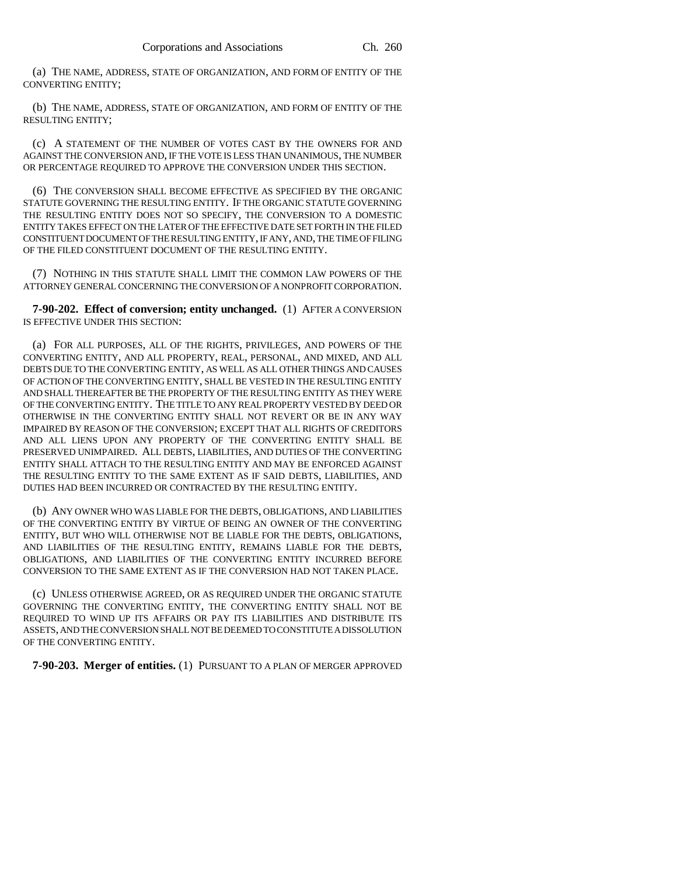(a) THE NAME, ADDRESS, STATE OF ORGANIZATION, AND FORM OF ENTITY OF THE CONVERTING ENTITY;

(b) THE NAME, ADDRESS, STATE OF ORGANIZATION, AND FORM OF ENTITY OF THE RESULTING ENTITY;

(c) A STATEMENT OF THE NUMBER OF VOTES CAST BY THE OWNERS FOR AND AGAINST THE CONVERSION AND, IF THE VOTE IS LESS THAN UNANIMOUS, THE NUMBER OR PERCENTAGE REQUIRED TO APPROVE THE CONVERSION UNDER THIS SECTION.

(6) THE CONVERSION SHALL BECOME EFFECTIVE AS SPECIFIED BY THE ORGANIC STATUTE GOVERNING THE RESULTING ENTITY. IF THE ORGANIC STATUTE GOVERNING THE RESULTING ENTITY DOES NOT SO SPECIFY, THE CONVERSION TO A DOMESTIC ENTITY TAKES EFFECT ON THE LATER OF THE EFFECTIVE DATE SET FORTH IN THE FILED CONSTITUENT DOCUMENT OF THE RESULTING ENTITY, IF ANY, AND, THE TIME OF FILING OF THE FILED CONSTITUENT DOCUMENT OF THE RESULTING ENTITY.

(7) NOTHING IN THIS STATUTE SHALL LIMIT THE COMMON LAW POWERS OF THE ATTORNEY GENERAL CONCERNING THE CONVERSION OF A NONPROFIT CORPORATION.

**7-90-202. Effect of conversion; entity unchanged.** (1) AFTER A CONVERSION IS EFFECTIVE UNDER THIS SECTION:

(a) FOR ALL PURPOSES, ALL OF THE RIGHTS, PRIVILEGES, AND POWERS OF THE CONVERTING ENTITY, AND ALL PROPERTY, REAL, PERSONAL, AND MIXED, AND ALL DEBTS DUE TO THE CONVERTING ENTITY, AS WELL AS ALL OTHER THINGS AND CAUSES OF ACTION OF THE CONVERTING ENTITY, SHALL BE VESTED IN THE RESULTING ENTITY AND SHALL THEREAFTER BE THE PROPERTY OF THE RESULTING ENTITY AS THEY WERE OF THE CONVERTING ENTITY. THE TITLE TO ANY REAL PROPERTY VESTED BY DEED OR OTHERWISE IN THE CONVERTING ENTITY SHALL NOT REVERT OR BE IN ANY WAY IMPAIRED BY REASON OF THE CONVERSION; EXCEPT THAT ALL RIGHTS OF CREDITORS AND ALL LIENS UPON ANY PROPERTY OF THE CONVERTING ENTITY SHALL BE PRESERVED UNIMPAIRED. ALL DEBTS, LIABILITIES, AND DUTIES OF THE CONVERTING ENTITY SHALL ATTACH TO THE RESULTING ENTITY AND MAY BE ENFORCED AGAINST THE RESULTING ENTITY TO THE SAME EXTENT AS IF SAID DEBTS, LIABILITIES, AND DUTIES HAD BEEN INCURRED OR CONTRACTED BY THE RESULTING ENTITY.

(b) ANY OWNER WHO WAS LIABLE FOR THE DEBTS, OBLIGATIONS, AND LIABILITIES OF THE CONVERTING ENTITY BY VIRTUE OF BEING AN OWNER OF THE CONVERTING ENTITY, BUT WHO WILL OTHERWISE NOT BE LIABLE FOR THE DEBTS, OBLIGATIONS, AND LIABILITIES OF THE RESULTING ENTITY, REMAINS LIABLE FOR THE DEBTS, OBLIGATIONS, AND LIABILITIES OF THE CONVERTING ENTITY INCURRED BEFORE CONVERSION TO THE SAME EXTENT AS IF THE CONVERSION HAD NOT TAKEN PLACE.

(c) UNLESS OTHERWISE AGREED, OR AS REQUIRED UNDER THE ORGANIC STATUTE GOVERNING THE CONVERTING ENTITY, THE CONVERTING ENTITY SHALL NOT BE REQUIRED TO WIND UP ITS AFFAIRS OR PAY ITS LIABILITIES AND DISTRIBUTE ITS ASSETS, AND THE CONVERSION SHALL NOT BE DEEMED TO CONSTITUTE A DISSOLUTION OF THE CONVERTING ENTITY.

**7-90-203. Merger of entities.** (1) PURSUANT TO A PLAN OF MERGER APPROVED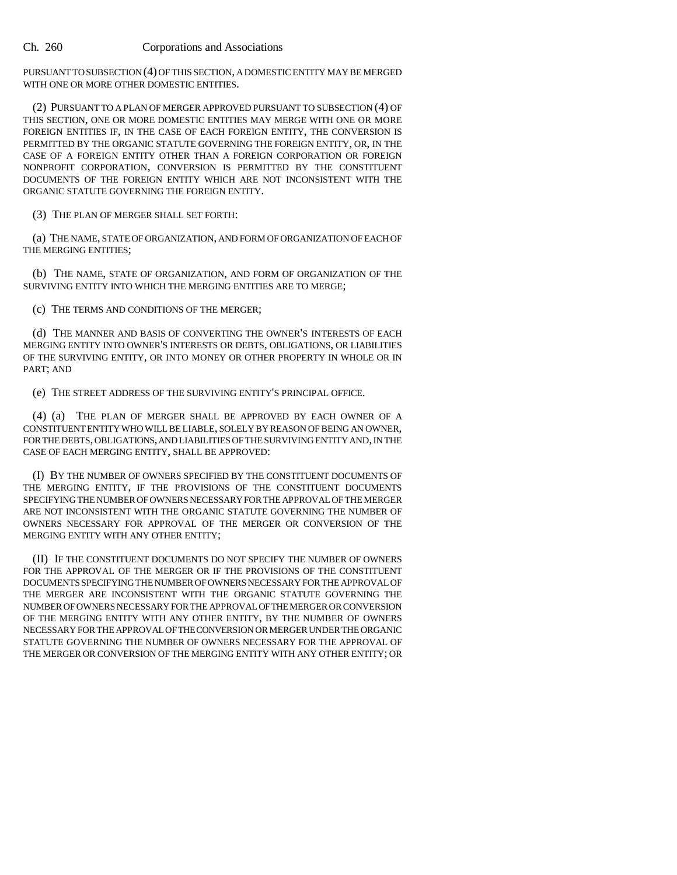PURSUANT TO SUBSECTION (4) OF THIS SECTION, A DOMESTIC ENTITY MAY BE MERGED WITH ONE OR MORE OTHER DOMESTIC ENTITIES.

(2) PURSUANT TO A PLAN OF MERGER APPROVED PURSUANT TO SUBSECTION (4) OF THIS SECTION, ONE OR MORE DOMESTIC ENTITIES MAY MERGE WITH ONE OR MORE FOREIGN ENTITIES IF, IN THE CASE OF EACH FOREIGN ENTITY, THE CONVERSION IS PERMITTED BY THE ORGANIC STATUTE GOVERNING THE FOREIGN ENTITY, OR, IN THE CASE OF A FOREIGN ENTITY OTHER THAN A FOREIGN CORPORATION OR FOREIGN NONPROFIT CORPORATION, CONVERSION IS PERMITTED BY THE CONSTITUENT DOCUMENTS OF THE FOREIGN ENTITY WHICH ARE NOT INCONSISTENT WITH THE ORGANIC STATUTE GOVERNING THE FOREIGN ENTITY.

(3) THE PLAN OF MERGER SHALL SET FORTH:

(a) THE NAME, STATE OF ORGANIZATION, AND FORM OF ORGANIZATION OF EACH OF THE MERGING ENTITIES;

(b) THE NAME, STATE OF ORGANIZATION, AND FORM OF ORGANIZATION OF THE SURVIVING ENTITY INTO WHICH THE MERGING ENTITIES ARE TO MERGE;

(c) THE TERMS AND CONDITIONS OF THE MERGER;

(d) THE MANNER AND BASIS OF CONVERTING THE OWNER'S INTERESTS OF EACH MERGING ENTITY INTO OWNER'S INTERESTS OR DEBTS, OBLIGATIONS, OR LIABILITIES OF THE SURVIVING ENTITY, OR INTO MONEY OR OTHER PROPERTY IN WHOLE OR IN PART; AND

(e) THE STREET ADDRESS OF THE SURVIVING ENTITY'S PRINCIPAL OFFICE.

(4) (a) THE PLAN OF MERGER SHALL BE APPROVED BY EACH OWNER OF A CONSTITUENT ENTITY WHO WILL BE LIABLE, SOLELY BY REASON OF BEING AN OWNER, FOR THE DEBTS, OBLIGATIONS, AND LIABILITIES OF THE SURVIVING ENTITY AND, IN THE CASE OF EACH MERGING ENTITY, SHALL BE APPROVED:

(I) BY THE NUMBER OF OWNERS SPECIFIED BY THE CONSTITUENT DOCUMENTS OF THE MERGING ENTITY, IF THE PROVISIONS OF THE CONSTITUENT DOCUMENTS SPECIFYING THE NUMBER OF OWNERS NECESSARY FOR THE APPROVAL OF THE MERGER ARE NOT INCONSISTENT WITH THE ORGANIC STATUTE GOVERNING THE NUMBER OF OWNERS NECESSARY FOR APPROVAL OF THE MERGER OR CONVERSION OF THE MERGING ENTITY WITH ANY OTHER ENTITY;

(II) IF THE CONSTITUENT DOCUMENTS DO NOT SPECIFY THE NUMBER OF OWNERS FOR THE APPROVAL OF THE MERGER OR IF THE PROVISIONS OF THE CONSTITUENT DOCUMENTS SPECIFYING THE NUMBER OF OWNERS NECESSARY FOR THE APPROVAL OF THE MERGER ARE INCONSISTENT WITH THE ORGANIC STATUTE GOVERNING THE NUMBER OF OWNERS NECESSARY FOR THE APPROVAL OF THE MERGER OR CONVERSION OF THE MERGING ENTITY WITH ANY OTHER ENTITY, BY THE NUMBER OF OWNERS NECESSARY FOR THE APPROVAL OF THE CONVERSION OR MERGER UNDER THE ORGANIC STATUTE GOVERNING THE NUMBER OF OWNERS NECESSARY FOR THE APPROVAL OF THE MERGER OR CONVERSION OF THE MERGING ENTITY WITH ANY OTHER ENTITY; OR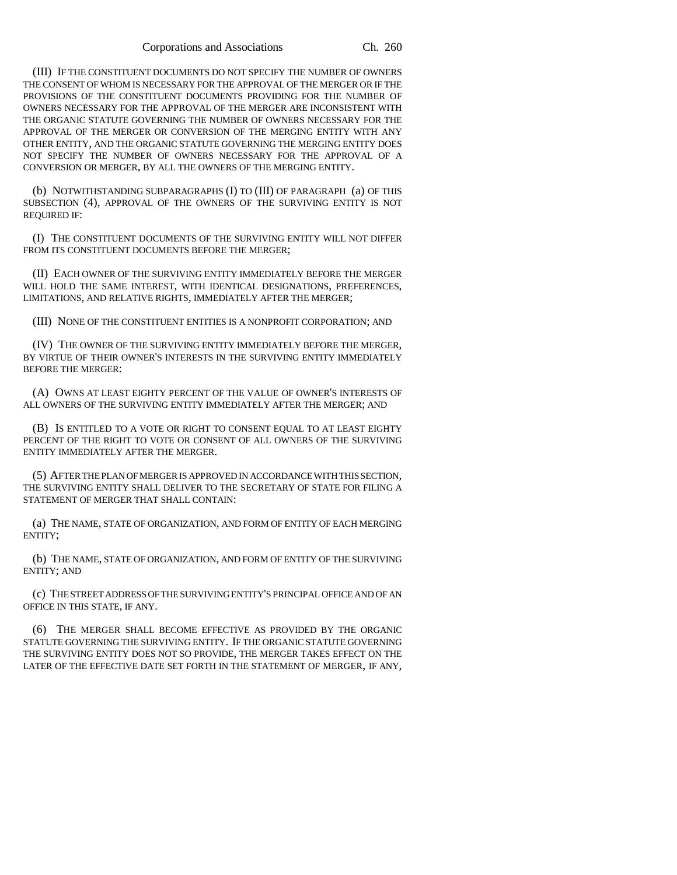(III) IF THE CONSTITUENT DOCUMENTS DO NOT SPECIFY THE NUMBER OF OWNERS THE CONSENT OF WHOM IS NECESSARY FOR THE APPROVAL OF THE MERGER OR IF THE PROVISIONS OF THE CONSTITUENT DOCUMENTS PROVIDING FOR THE NUMBER OF OWNERS NECESSARY FOR THE APPROVAL OF THE MERGER ARE INCONSISTENT WITH THE ORGANIC STATUTE GOVERNING THE NUMBER OF OWNERS NECESSARY FOR THE APPROVAL OF THE MERGER OR CONVERSION OF THE MERGING ENTITY WITH ANY OTHER ENTITY, AND THE ORGANIC STATUTE GOVERNING THE MERGING ENTITY DOES NOT SPECIFY THE NUMBER OF OWNERS NECESSARY FOR THE APPROVAL OF A CONVERSION OR MERGER, BY ALL THE OWNERS OF THE MERGING ENTITY.

(b) NOTWITHSTANDING SUBPARAGRAPHS (I) TO (III) OF PARAGRAPH (a) OF THIS SUBSECTION (4), APPROVAL OF THE OWNERS OF THE SURVIVING ENTITY IS NOT REQUIRED IF:

(I) THE CONSTITUENT DOCUMENTS OF THE SURVIVING ENTITY WILL NOT DIFFER FROM ITS CONSTITUENT DOCUMENTS BEFORE THE MERGER;

(II) EACH OWNER OF THE SURVIVING ENTITY IMMEDIATELY BEFORE THE MERGER WILL HOLD THE SAME INTEREST, WITH IDENTICAL DESIGNATIONS, PREFERENCES, LIMITATIONS, AND RELATIVE RIGHTS, IMMEDIATELY AFTER THE MERGER;

(III) NONE OF THE CONSTITUENT ENTITIES IS A NONPROFIT CORPORATION; AND

(IV) THE OWNER OF THE SURVIVING ENTITY IMMEDIATELY BEFORE THE MERGER, BY VIRTUE OF THEIR OWNER'S INTERESTS IN THE SURVIVING ENTITY IMMEDIATELY BEFORE THE MERGER:

(A) OWNS AT LEAST EIGHTY PERCENT OF THE VALUE OF OWNER'S INTERESTS OF ALL OWNERS OF THE SURVIVING ENTITY IMMEDIATELY AFTER THE MERGER; AND

(B) IS ENTITLED TO A VOTE OR RIGHT TO CONSENT EQUAL TO AT LEAST EIGHTY PERCENT OF THE RIGHT TO VOTE OR CONSENT OF ALL OWNERS OF THE SURVIVING ENTITY IMMEDIATELY AFTER THE MERGER.

(5) AFTER THE PLAN OF MERGER IS APPROVED IN ACCORDANCE WITH THIS SECTION, THE SURVIVING ENTITY SHALL DELIVER TO THE SECRETARY OF STATE FOR FILING A STATEMENT OF MERGER THAT SHALL CONTAIN:

(a) THE NAME, STATE OF ORGANIZATION, AND FORM OF ENTITY OF EACH MERGING ENTITY;

(b) THE NAME, STATE OF ORGANIZATION, AND FORM OF ENTITY OF THE SURVIVING ENTITY; AND

(c) THE STREET ADDRESS OF THE SURVIVING ENTITY'S PRINCIPAL OFFICE AND OF AN OFFICE IN THIS STATE, IF ANY.

(6) THE MERGER SHALL BECOME EFFECTIVE AS PROVIDED BY THE ORGANIC STATUTE GOVERNING THE SURVIVING ENTITY. IF THE ORGANIC STATUTE GOVERNING THE SURVIVING ENTITY DOES NOT SO PROVIDE, THE MERGER TAKES EFFECT ON THE LATER OF THE EFFECTIVE DATE SET FORTH IN THE STATEMENT OF MERGER, IF ANY,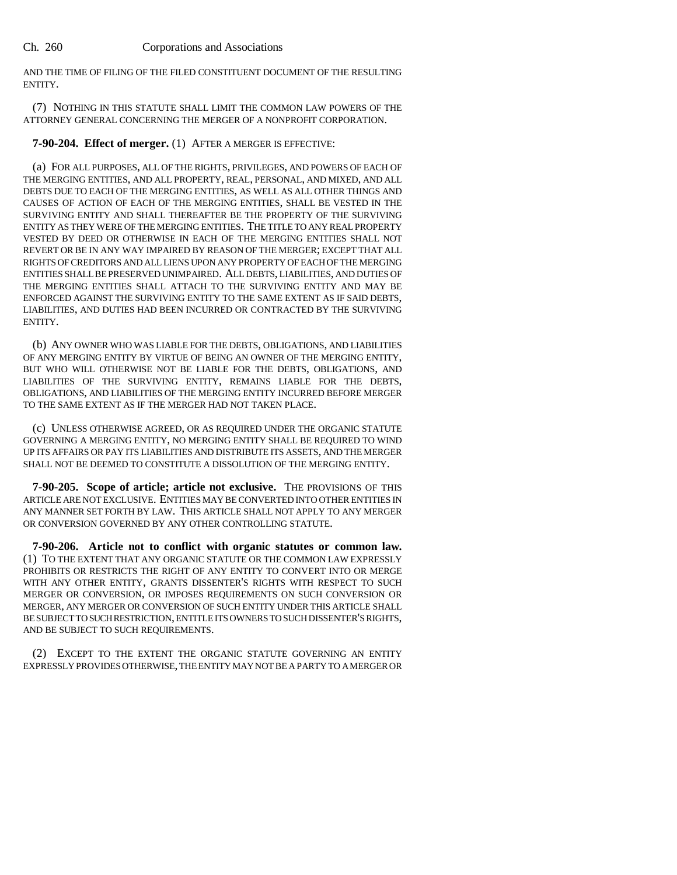AND THE TIME OF FILING OF THE FILED CONSTITUENT DOCUMENT OF THE RESULTING ENTITY.

(7) NOTHING IN THIS STATUTE SHALL LIMIT THE COMMON LAW POWERS OF THE ATTORNEY GENERAL CONCERNING THE MERGER OF A NONPROFIT CORPORATION.

**7-90-204. Effect of merger.** (1) AFTER A MERGER IS EFFECTIVE:

(a) FOR ALL PURPOSES, ALL OF THE RIGHTS, PRIVILEGES, AND POWERS OF EACH OF THE MERGING ENTITIES, AND ALL PROPERTY, REAL, PERSONAL, AND MIXED, AND ALL DEBTS DUE TO EACH OF THE MERGING ENTITIES, AS WELL AS ALL OTHER THINGS AND CAUSES OF ACTION OF EACH OF THE MERGING ENTITIES, SHALL BE VESTED IN THE SURVIVING ENTITY AND SHALL THEREAFTER BE THE PROPERTY OF THE SURVIVING ENTITY AS THEY WERE OF THE MERGING ENTITIES. THE TITLE TO ANY REAL PROPERTY VESTED BY DEED OR OTHERWISE IN EACH OF THE MERGING ENTITIES SHALL NOT REVERT OR BE IN ANY WAY IMPAIRED BY REASON OF THE MERGER; EXCEPT THAT ALL RIGHTS OF CREDITORS AND ALL LIENS UPON ANY PROPERTY OF EACH OF THE MERGING ENTITIES SHALL BE PRESERVED UNIMPAIRED. ALL DEBTS, LIABILITIES, AND DUTIES OF THE MERGING ENTITIES SHALL ATTACH TO THE SURVIVING ENTITY AND MAY BE ENFORCED AGAINST THE SURVIVING ENTITY TO THE SAME EXTENT AS IF SAID DEBTS, LIABILITIES, AND DUTIES HAD BEEN INCURRED OR CONTRACTED BY THE SURVIVING ENTITY.

(b) ANY OWNER WHO WAS LIABLE FOR THE DEBTS, OBLIGATIONS, AND LIABILITIES OF ANY MERGING ENTITY BY VIRTUE OF BEING AN OWNER OF THE MERGING ENTITY, BUT WHO WILL OTHERWISE NOT BE LIABLE FOR THE DEBTS, OBLIGATIONS, AND LIABILITIES OF THE SURVIVING ENTITY, REMAINS LIABLE FOR THE DEBTS, OBLIGATIONS, AND LIABILITIES OF THE MERGING ENTITY INCURRED BEFORE MERGER TO THE SAME EXTENT AS IF THE MERGER HAD NOT TAKEN PLACE.

(c) UNLESS OTHERWISE AGREED, OR AS REQUIRED UNDER THE ORGANIC STATUTE GOVERNING A MERGING ENTITY, NO MERGING ENTITY SHALL BE REQUIRED TO WIND UP ITS AFFAIRS OR PAY ITS LIABILITIES AND DISTRIBUTE ITS ASSETS, AND THE MERGER SHALL NOT BE DEEMED TO CONSTITUTE A DISSOLUTION OF THE MERGING ENTITY.

**7-90-205. Scope of article; article not exclusive.** THE PROVISIONS OF THIS ARTICLE ARE NOT EXCLUSIVE. ENTITIES MAY BE CONVERTED INTO OTHER ENTITIES IN ANY MANNER SET FORTH BY LAW. THIS ARTICLE SHALL NOT APPLY TO ANY MERGER OR CONVERSION GOVERNED BY ANY OTHER CONTROLLING STATUTE.

**7-90-206. Article not to conflict with organic statutes or common law.** (1) TO THE EXTENT THAT ANY ORGANIC STATUTE OR THE COMMON LAW EXPRESSLY PROHIBITS OR RESTRICTS THE RIGHT OF ANY ENTITY TO CONVERT INTO OR MERGE WITH ANY OTHER ENTITY, GRANTS DISSENTER'S RIGHTS WITH RESPECT TO SUCH MERGER OR CONVERSION, OR IMPOSES REQUIREMENTS ON SUCH CONVERSION OR MERGER, ANY MERGER OR CONVERSION OF SUCH ENTITY UNDER THIS ARTICLE SHALL BE SUBJECT TO SUCH RESTRICTION, ENTITLE ITS OWNERS TO SUCH DISSENTER'S RIGHTS, AND BE SUBJECT TO SUCH REQUIREMENTS.

(2) EXCEPT TO THE EXTENT THE ORGANIC STATUTE GOVERNING AN ENTITY EXPRESSLY PROVIDES OTHERWISE, THE ENTITY MAY NOT BE A PARTY TO A MERGER OR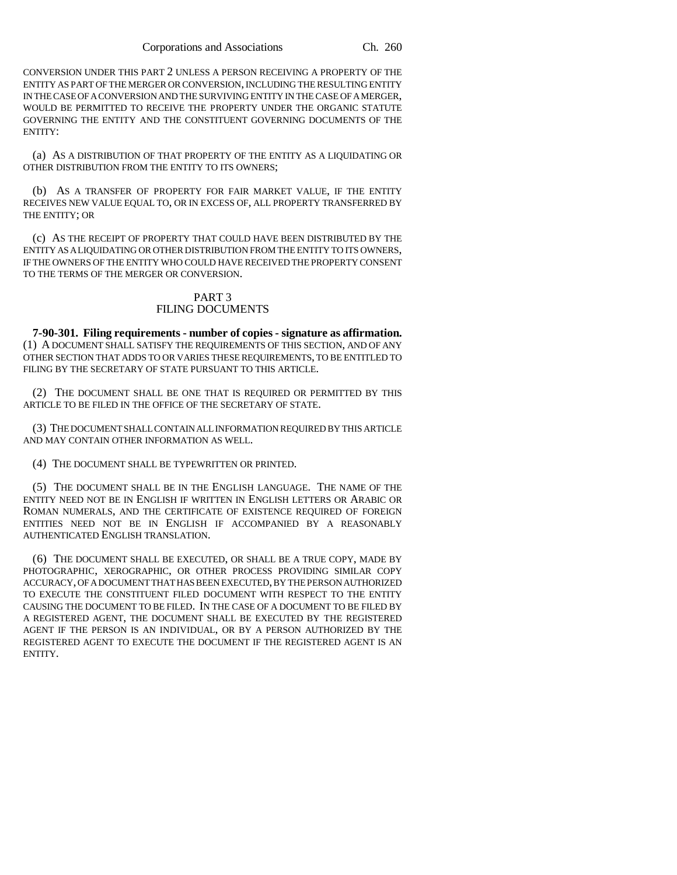CONVERSION UNDER THIS PART 2 UNLESS A PERSON RECEIVING A PROPERTY OF THE ENTITY AS PART OF THE MERGER OR CONVERSION, INCLUDING THE RESULTING ENTITY IN THE CASE OF A CONVERSION AND THE SURVIVING ENTITY IN THE CASE OF A MERGER, WOULD BE PERMITTED TO RECEIVE THE PROPERTY UNDER THE ORGANIC STATUTE GOVERNING THE ENTITY AND THE CONSTITUENT GOVERNING DOCUMENTS OF THE ENTITY:

(a) AS A DISTRIBUTION OF THAT PROPERTY OF THE ENTITY AS A LIQUIDATING OR OTHER DISTRIBUTION FROM THE ENTITY TO ITS OWNERS;

(b) AS A TRANSFER OF PROPERTY FOR FAIR MARKET VALUE, IF THE ENTITY RECEIVES NEW VALUE EQUAL TO, OR IN EXCESS OF, ALL PROPERTY TRANSFERRED BY THE ENTITY; OR

(c) AS THE RECEIPT OF PROPERTY THAT COULD HAVE BEEN DISTRIBUTED BY THE ENTITY AS A LIQUIDATING OR OTHER DISTRIBUTION FROM THE ENTITY TO ITS OWNERS, IF THE OWNERS OF THE ENTITY WHO COULD HAVE RECEIVED THE PROPERTY CONSENT TO THE TERMS OF THE MERGER OR CONVERSION.

## PART 3 FILING DOCUMENTS

**7-90-301. Filing requirements - number of copies - signature as affirmation.** (1) A DOCUMENT SHALL SATISFY THE REQUIREMENTS OF THIS SECTION, AND OF ANY OTHER SECTION THAT ADDS TO OR VARIES THESE REQUIREMENTS, TO BE ENTITLED TO FILING BY THE SECRETARY OF STATE PURSUANT TO THIS ARTICLE.

(2) THE DOCUMENT SHALL BE ONE THAT IS REQUIRED OR PERMITTED BY THIS ARTICLE TO BE FILED IN THE OFFICE OF THE SECRETARY OF STATE.

(3) THE DOCUMENT SHALL CONTAIN ALL INFORMATION REQUIRED BY THIS ARTICLE AND MAY CONTAIN OTHER INFORMATION AS WELL.

(4) THE DOCUMENT SHALL BE TYPEWRITTEN OR PRINTED.

(5) THE DOCUMENT SHALL BE IN THE ENGLISH LANGUAGE. THE NAME OF THE ENTITY NEED NOT BE IN ENGLISH IF WRITTEN IN ENGLISH LETTERS OR ARABIC OR ROMAN NUMERALS, AND THE CERTIFICATE OF EXISTENCE REQUIRED OF FOREIGN ENTITIES NEED NOT BE IN ENGLISH IF ACCOMPANIED BY A REASONABLY AUTHENTICATED ENGLISH TRANSLATION.

(6) THE DOCUMENT SHALL BE EXECUTED, OR SHALL BE A TRUE COPY, MADE BY PHOTOGRAPHIC, XEROGRAPHIC, OR OTHER PROCESS PROVIDING SIMILAR COPY ACCURACY, OF A DOCUMENT THAT HAS BEEN EXECUTED, BY THE PERSON AUTHORIZED TO EXECUTE THE CONSTITUENT FILED DOCUMENT WITH RESPECT TO THE ENTITY CAUSING THE DOCUMENT TO BE FILED. IN THE CASE OF A DOCUMENT TO BE FILED BY A REGISTERED AGENT, THE DOCUMENT SHALL BE EXECUTED BY THE REGISTERED AGENT IF THE PERSON IS AN INDIVIDUAL, OR BY A PERSON AUTHORIZED BY THE REGISTERED AGENT TO EXECUTE THE DOCUMENT IF THE REGISTERED AGENT IS AN ENTITY.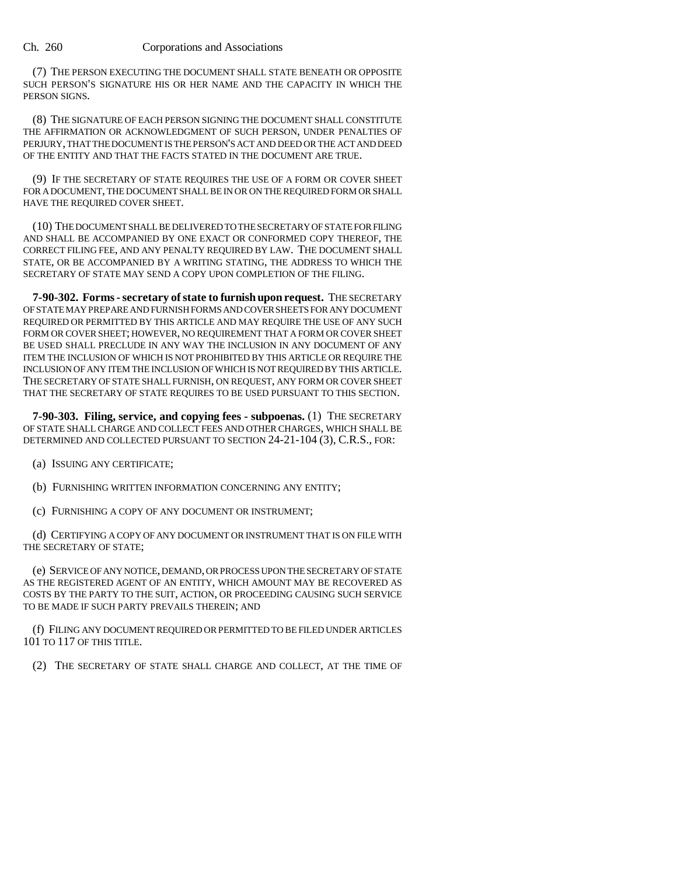(7) THE PERSON EXECUTING THE DOCUMENT SHALL STATE BENEATH OR OPPOSITE SUCH PERSON'S SIGNATURE HIS OR HER NAME AND THE CAPACITY IN WHICH THE PERSON SIGNS.

(8) THE SIGNATURE OF EACH PERSON SIGNING THE DOCUMENT SHALL CONSTITUTE THE AFFIRMATION OR ACKNOWLEDGMENT OF SUCH PERSON, UNDER PENALTIES OF PERJURY, THAT THE DOCUMENT IS THE PERSON'S ACT AND DEED OR THE ACT AND DEED OF THE ENTITY AND THAT THE FACTS STATED IN THE DOCUMENT ARE TRUE.

(9) IF THE SECRETARY OF STATE REQUIRES THE USE OF A FORM OR COVER SHEET FOR A DOCUMENT, THE DOCUMENT SHALL BE IN OR ON THE REQUIRED FORM OR SHALL HAVE THE REQUIRED COVER SHEET.

(10) THE DOCUMENT SHALL BE DELIVERED TO THE SECRETARY OF STATE FOR FILING AND SHALL BE ACCOMPANIED BY ONE EXACT OR CONFORMED COPY THEREOF, THE CORRECT FILING FEE, AND ANY PENALTY REQUIRED BY LAW. THE DOCUMENT SHALL STATE, OR BE ACCOMPANIED BY A WRITING STATING, THE ADDRESS TO WHICH THE SECRETARY OF STATE MAY SEND A COPY UPON COMPLETION OF THE FILING.

**7-90-302. Forms - secretary of state to furnish upon request.** THE SECRETARY OF STATE MAY PREPARE AND FURNISH FORMS AND COVER SHEETS FOR ANY DOCUMENT REQUIRED OR PERMITTED BY THIS ARTICLE AND MAY REQUIRE THE USE OF ANY SUCH FORM OR COVER SHEET; HOWEVER, NO REQUIREMENT THAT A FORM OR COVER SHEET BE USED SHALL PRECLUDE IN ANY WAY THE INCLUSION IN ANY DOCUMENT OF ANY ITEM THE INCLUSION OF WHICH IS NOT PROHIBITED BY THIS ARTICLE OR REQUIRE THE INCLUSION OF ANY ITEM THE INCLUSION OF WHICH IS NOT REQUIRED BY THIS ARTICLE. THE SECRETARY OF STATE SHALL FURNISH, ON REQUEST, ANY FORM OR COVER SHEET THAT THE SECRETARY OF STATE REQUIRES TO BE USED PURSUANT TO THIS SECTION.

**7-90-303. Filing, service, and copying fees - subpoenas.** (1) THE SECRETARY OF STATE SHALL CHARGE AND COLLECT FEES AND OTHER CHARGES, WHICH SHALL BE DETERMINED AND COLLECTED PURSUANT TO SECTION 24-21-104 (3), C.R.S., FOR:

(a) ISSUING ANY CERTIFICATE;

(b) FURNISHING WRITTEN INFORMATION CONCERNING ANY ENTITY;

(c) FURNISHING A COPY OF ANY DOCUMENT OR INSTRUMENT;

(d) CERTIFYING A COPY OF ANY DOCUMENT OR INSTRUMENT THAT IS ON FILE WITH THE SECRETARY OF STATE;

(e) SERVICE OF ANY NOTICE, DEMAND, OR PROCESS UPON THE SECRETARY OF STATE AS THE REGISTERED AGENT OF AN ENTITY, WHICH AMOUNT MAY BE RECOVERED AS COSTS BY THE PARTY TO THE SUIT, ACTION, OR PROCEEDING CAUSING SUCH SERVICE TO BE MADE IF SUCH PARTY PREVAILS THEREIN; AND

(f) FILING ANY DOCUMENT REQUIRED OR PERMITTED TO BE FILED UNDER ARTICLES 101 TO 117 OF THIS TITLE.

(2) THE SECRETARY OF STATE SHALL CHARGE AND COLLECT, AT THE TIME OF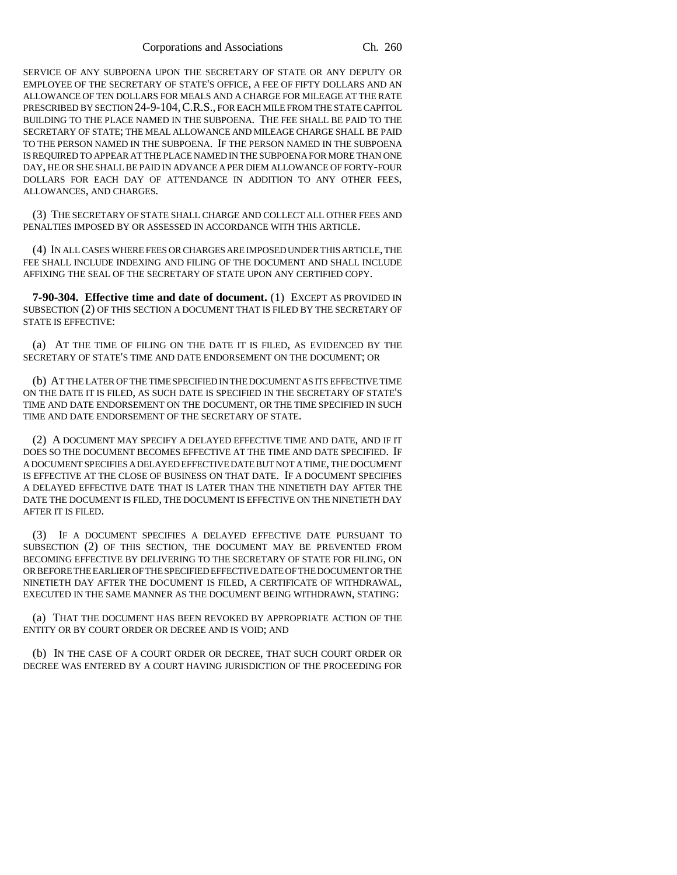SERVICE OF ANY SUBPOENA UPON THE SECRETARY OF STATE OR ANY DEPUTY OR EMPLOYEE OF THE SECRETARY OF STATE'S OFFICE, A FEE OF FIFTY DOLLARS AND AN ALLOWANCE OF TEN DOLLARS FOR MEALS AND A CHARGE FOR MILEAGE AT THE RATE PRESCRIBED BY SECTION 24-9-104,C.R.S., FOR EACH MILE FROM THE STATE CAPITOL BUILDING TO THE PLACE NAMED IN THE SUBPOENA. THE FEE SHALL BE PAID TO THE SECRETARY OF STATE; THE MEAL ALLOWANCE AND MILEAGE CHARGE SHALL BE PAID TO THE PERSON NAMED IN THE SUBPOENA. IF THE PERSON NAMED IN THE SUBPOENA IS REQUIRED TO APPEAR AT THE PLACE NAMED IN THE SUBPOENA FOR MORE THAN ONE DAY, HE OR SHE SHALL BE PAID IN ADVANCE A PER DIEM ALLOWANCE OF FORTY-FOUR DOLLARS FOR EACH DAY OF ATTENDANCE IN ADDITION TO ANY OTHER FEES, ALLOWANCES, AND CHARGES.

(3) THE SECRETARY OF STATE SHALL CHARGE AND COLLECT ALL OTHER FEES AND PENALTIES IMPOSED BY OR ASSESSED IN ACCORDANCE WITH THIS ARTICLE.

(4) IN ALL CASES WHERE FEES OR CHARGES ARE IMPOSED UNDER THIS ARTICLE, THE FEE SHALL INCLUDE INDEXING AND FILING OF THE DOCUMENT AND SHALL INCLUDE AFFIXING THE SEAL OF THE SECRETARY OF STATE UPON ANY CERTIFIED COPY.

**7-90-304. Effective time and date of document.** (1) EXCEPT AS PROVIDED IN SUBSECTION (2) OF THIS SECTION A DOCUMENT THAT IS FILED BY THE SECRETARY OF STATE IS EFFECTIVE:

(a) AT THE TIME OF FILING ON THE DATE IT IS FILED, AS EVIDENCED BY THE SECRETARY OF STATE'S TIME AND DATE ENDORSEMENT ON THE DOCUMENT; OR

(b) AT THE LATER OF THE TIME SPECIFIED IN THE DOCUMENT AS ITS EFFECTIVE TIME ON THE DATE IT IS FILED, AS SUCH DATE IS SPECIFIED IN THE SECRETARY OF STATE'S TIME AND DATE ENDORSEMENT ON THE DOCUMENT, OR THE TIME SPECIFIED IN SUCH TIME AND DATE ENDORSEMENT OF THE SECRETARY OF STATE.

(2) A DOCUMENT MAY SPECIFY A DELAYED EFFECTIVE TIME AND DATE, AND IF IT DOES SO THE DOCUMENT BECOMES EFFECTIVE AT THE TIME AND DATE SPECIFIED. IF A DOCUMENT SPECIFIES A DELAYED EFFECTIVE DATE BUT NOT A TIME, THE DOCUMENT IS EFFECTIVE AT THE CLOSE OF BUSINESS ON THAT DATE. IF A DOCUMENT SPECIFIES A DELAYED EFFECTIVE DATE THAT IS LATER THAN THE NINETIETH DAY AFTER THE DATE THE DOCUMENT IS FILED, THE DOCUMENT IS EFFECTIVE ON THE NINETIETH DAY AFTER IT IS FILED.

(3) IF A DOCUMENT SPECIFIES A DELAYED EFFECTIVE DATE PURSUANT TO SUBSECTION (2) OF THIS SECTION, THE DOCUMENT MAY BE PREVENTED FROM BECOMING EFFECTIVE BY DELIVERING TO THE SECRETARY OF STATE FOR FILING, ON OR BEFORE THE EARLIER OF THE SPECIFIED EFFECTIVE DATE OF THE DOCUMENT OR THE NINETIETH DAY AFTER THE DOCUMENT IS FILED, A CERTIFICATE OF WITHDRAWAL, EXECUTED IN THE SAME MANNER AS THE DOCUMENT BEING WITHDRAWN, STATING:

(a) THAT THE DOCUMENT HAS BEEN REVOKED BY APPROPRIATE ACTION OF THE ENTITY OR BY COURT ORDER OR DECREE AND IS VOID; AND

(b) IN THE CASE OF A COURT ORDER OR DECREE, THAT SUCH COURT ORDER OR DECREE WAS ENTERED BY A COURT HAVING JURISDICTION OF THE PROCEEDING FOR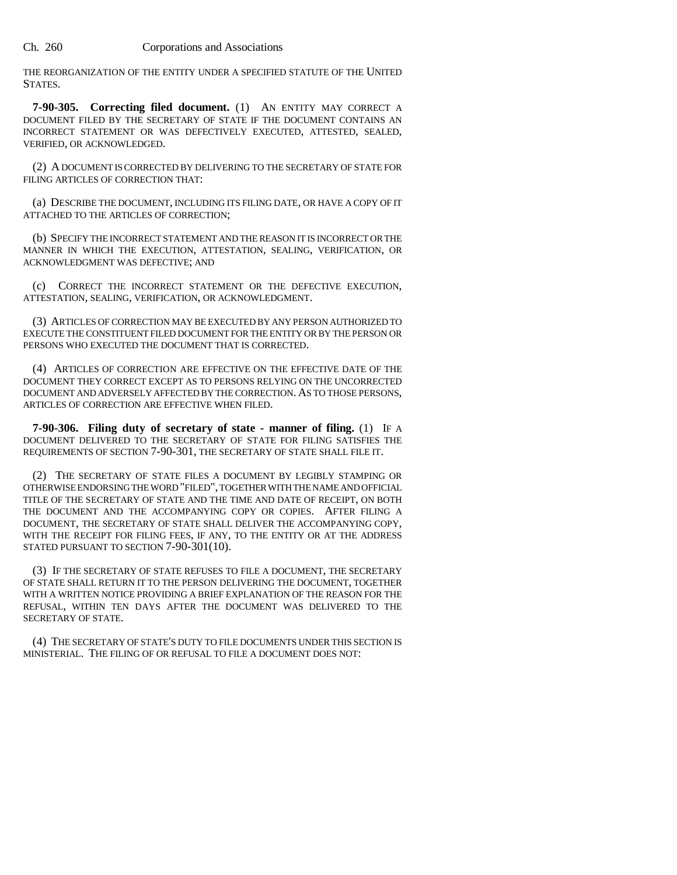THE REORGANIZATION OF THE ENTITY UNDER A SPECIFIED STATUTE OF THE UNITED STATES.

**7-90-305. Correcting filed document.** (1) AN ENTITY MAY CORRECT A DOCUMENT FILED BY THE SECRETARY OF STATE IF THE DOCUMENT CONTAINS AN INCORRECT STATEMENT OR WAS DEFECTIVELY EXECUTED, ATTESTED, SEALED, VERIFIED, OR ACKNOWLEDGED.

(2) A DOCUMENT IS CORRECTED BY DELIVERING TO THE SECRETARY OF STATE FOR FILING ARTICLES OF CORRECTION THAT:

(a) DESCRIBE THE DOCUMENT, INCLUDING ITS FILING DATE, OR HAVE A COPY OF IT ATTACHED TO THE ARTICLES OF CORRECTION;

(b) SPECIFY THE INCORRECT STATEMENT AND THE REASON IT IS INCORRECT OR THE MANNER IN WHICH THE EXECUTION, ATTESTATION, SEALING, VERIFICATION, OR ACKNOWLEDGMENT WAS DEFECTIVE; AND

(c) CORRECT THE INCORRECT STATEMENT OR THE DEFECTIVE EXECUTION, ATTESTATION, SEALING, VERIFICATION, OR ACKNOWLEDGMENT.

(3) ARTICLES OF CORRECTION MAY BE EXECUTED BY ANY PERSON AUTHORIZED TO EXECUTE THE CONSTITUENT FILED DOCUMENT FOR THE ENTITY OR BY THE PERSON OR PERSONS WHO EXECUTED THE DOCUMENT THAT IS CORRECTED.

(4) ARTICLES OF CORRECTION ARE EFFECTIVE ON THE EFFECTIVE DATE OF THE DOCUMENT THEY CORRECT EXCEPT AS TO PERSONS RELYING ON THE UNCORRECTED DOCUMENT AND ADVERSELY AFFECTED BY THE CORRECTION. AS TO THOSE PERSONS, ARTICLES OF CORRECTION ARE EFFECTIVE WHEN FILED.

**7-90-306. Filing duty of secretary of state - manner of filing.** (1) IF A DOCUMENT DELIVERED TO THE SECRETARY OF STATE FOR FILING SATISFIES THE REQUIREMENTS OF SECTION 7-90-301, THE SECRETARY OF STATE SHALL FILE IT.

(2) THE SECRETARY OF STATE FILES A DOCUMENT BY LEGIBLY STAMPING OR OTHERWISE ENDORSING THE WORD "FILED", TOGETHER WITH THE NAME AND OFFICIAL TITLE OF THE SECRETARY OF STATE AND THE TIME AND DATE OF RECEIPT, ON BOTH THE DOCUMENT AND THE ACCOMPANYING COPY OR COPIES. AFTER FILING A DOCUMENT, THE SECRETARY OF STATE SHALL DELIVER THE ACCOMPANYING COPY, WITH THE RECEIPT FOR FILING FEES, IF ANY, TO THE ENTITY OR AT THE ADDRESS STATED PURSUANT TO SECTION 7-90-301(10).

(3) IF THE SECRETARY OF STATE REFUSES TO FILE A DOCUMENT, THE SECRETARY OF STATE SHALL RETURN IT TO THE PERSON DELIVERING THE DOCUMENT, TOGETHER WITH A WRITTEN NOTICE PROVIDING A BRIEF EXPLANATION OF THE REASON FOR THE REFUSAL, WITHIN TEN DAYS AFTER THE DOCUMENT WAS DELIVERED TO THE SECRETARY OF STATE.

(4) THE SECRETARY OF STATE'S DUTY TO FILE DOCUMENTS UNDER THIS SECTION IS MINISTERIAL. THE FILING OF OR REFUSAL TO FILE A DOCUMENT DOES NOT: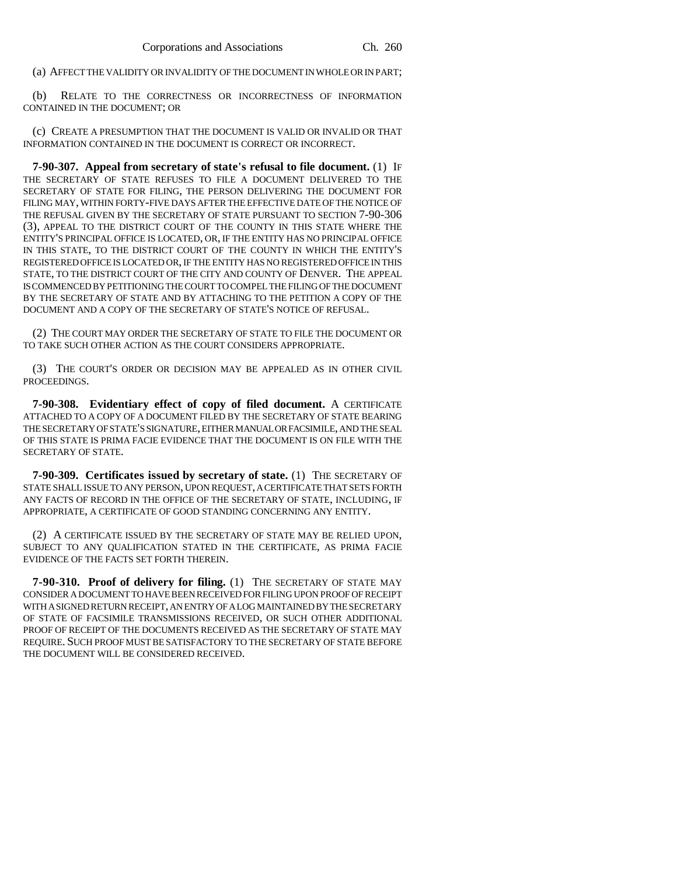(a) AFFECT THE VALIDITY OR INVALIDITY OF THE DOCUMENT IN WHOLE OR IN PART;

(b) RELATE TO THE CORRECTNESS OR INCORRECTNESS OF INFORMATION CONTAINED IN THE DOCUMENT; OR

(c) CREATE A PRESUMPTION THAT THE DOCUMENT IS VALID OR INVALID OR THAT INFORMATION CONTAINED IN THE DOCUMENT IS CORRECT OR INCORRECT.

**7-90-307. Appeal from secretary of state's refusal to file document.** (1) IF THE SECRETARY OF STATE REFUSES TO FILE A DOCUMENT DELIVERED TO THE SECRETARY OF STATE FOR FILING, THE PERSON DELIVERING THE DOCUMENT FOR FILING MAY, WITHIN FORTY-FIVE DAYS AFTER THE EFFECTIVE DATE OF THE NOTICE OF THE REFUSAL GIVEN BY THE SECRETARY OF STATE PURSUANT TO SECTION 7-90-306 (3), APPEAL TO THE DISTRICT COURT OF THE COUNTY IN THIS STATE WHERE THE ENTITY'S PRINCIPAL OFFICE IS LOCATED, OR, IF THE ENTITY HAS NO PRINCIPAL OFFICE IN THIS STATE, TO THE DISTRICT COURT OF THE COUNTY IN WHICH THE ENTITY'S REGISTERED OFFICE IS LOCATED OR, IF THE ENTITY HAS NO REGISTERED OFFICE IN THIS STATE, TO THE DISTRICT COURT OF THE CITY AND COUNTY OF DENVER. THE APPEAL IS COMMENCED BY PETITIONING THE COURT TO COMPEL THE FILING OF THE DOCUMENT BY THE SECRETARY OF STATE AND BY ATTACHING TO THE PETITION A COPY OF THE DOCUMENT AND A COPY OF THE SECRETARY OF STATE'S NOTICE OF REFUSAL.

(2) THE COURT MAY ORDER THE SECRETARY OF STATE TO FILE THE DOCUMENT OR TO TAKE SUCH OTHER ACTION AS THE COURT CONSIDERS APPROPRIATE.

(3) THE COURT'S ORDER OR DECISION MAY BE APPEALED AS IN OTHER CIVIL PROCEEDINGS.

**7-90-308. Evidentiary effect of copy of filed document.** A CERTIFICATE ATTACHED TO A COPY OF A DOCUMENT FILED BY THE SECRETARY OF STATE BEARING THE SECRETARY OF STATE'S SIGNATURE, EITHER MANUAL OR FACSIMILE, AND THE SEAL OF THIS STATE IS PRIMA FACIE EVIDENCE THAT THE DOCUMENT IS ON FILE WITH THE SECRETARY OF STATE.

**7-90-309. Certificates issued by secretary of state.** (1) THE SECRETARY OF STATE SHALL ISSUE TO ANY PERSON, UPON REQUEST, A CERTIFICATE THAT SETS FORTH ANY FACTS OF RECORD IN THE OFFICE OF THE SECRETARY OF STATE, INCLUDING, IF APPROPRIATE, A CERTIFICATE OF GOOD STANDING CONCERNING ANY ENTITY.

(2) A CERTIFICATE ISSUED BY THE SECRETARY OF STATE MAY BE RELIED UPON, SUBJECT TO ANY QUALIFICATION STATED IN THE CERTIFICATE, AS PRIMA FACIE EVIDENCE OF THE FACTS SET FORTH THEREIN.

**7-90-310. Proof of delivery for filing.** (1) THE SECRETARY OF STATE MAY CONSIDER A DOCUMENT TO HAVE BEEN RECEIVED FOR FILING UPON PROOF OF RECEIPT WITH A SIGNED RETURN RECEIPT, AN ENTRY OF A LOG MAINTAINED BY THE SECRETARY OF STATE OF FACSIMILE TRANSMISSIONS RECEIVED, OR SUCH OTHER ADDITIONAL PROOF OF RECEIPT OF THE DOCUMENTS RECEIVED AS THE SECRETARY OF STATE MAY REQUIRE. SUCH PROOF MUST BE SATISFACTORY TO THE SECRETARY OF STATE BEFORE THE DOCUMENT WILL BE CONSIDERED RECEIVED.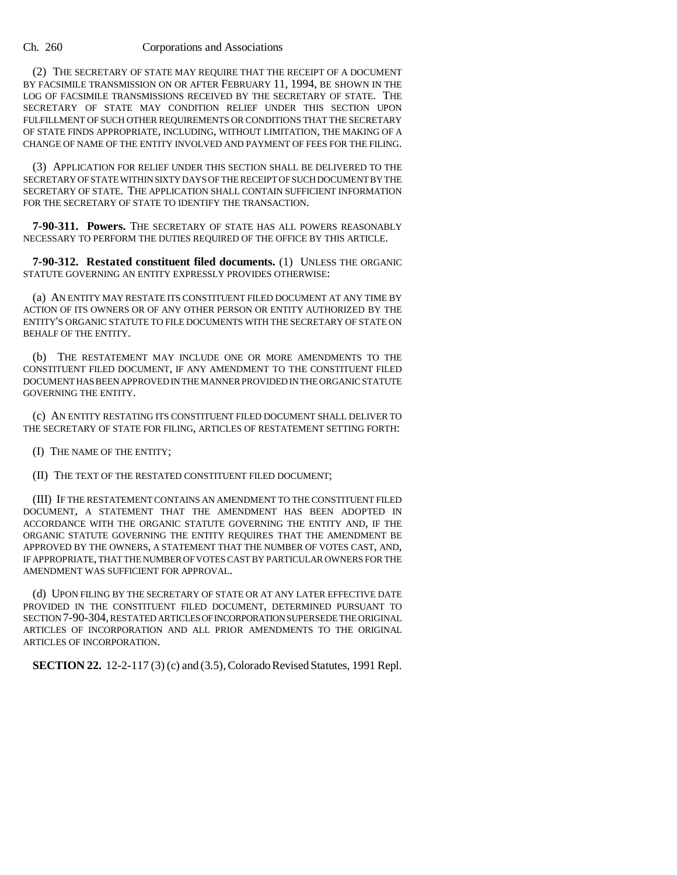(2) THE SECRETARY OF STATE MAY REQUIRE THAT THE RECEIPT OF A DOCUMENT BY FACSIMILE TRANSMISSION ON OR AFTER FEBRUARY 11, 1994, BE SHOWN IN THE LOG OF FACSIMILE TRANSMISSIONS RECEIVED BY THE SECRETARY OF STATE. THE SECRETARY OF STATE MAY CONDITION RELIEF UNDER THIS SECTION UPON FULFILLMENT OF SUCH OTHER REQUIREMENTS OR CONDITIONS THAT THE SECRETARY OF STATE FINDS APPROPRIATE, INCLUDING, WITHOUT LIMITATION, THE MAKING OF A CHANGE OF NAME OF THE ENTITY INVOLVED AND PAYMENT OF FEES FOR THE FILING.

(3) APPLICATION FOR RELIEF UNDER THIS SECTION SHALL BE DELIVERED TO THE SECRETARY OF STATE WITHIN SIXTY DAYS OF THE RECEIPT OF SUCH DOCUMENT BY THE SECRETARY OF STATE. THE APPLICATION SHALL CONTAIN SUFFICIENT INFORMATION FOR THE SECRETARY OF STATE TO IDENTIFY THE TRANSACTION.

**7-90-311. Powers.** THE SECRETARY OF STATE HAS ALL POWERS REASONABLY NECESSARY TO PERFORM THE DUTIES REQUIRED OF THE OFFICE BY THIS ARTICLE.

**7-90-312. Restated constituent filed documents.** (1) UNLESS THE ORGANIC STATUTE GOVERNING AN ENTITY EXPRESSLY PROVIDES OTHERWISE:

(a) AN ENTITY MAY RESTATE ITS CONSTITUENT FILED DOCUMENT AT ANY TIME BY ACTION OF ITS OWNERS OR OF ANY OTHER PERSON OR ENTITY AUTHORIZED BY THE ENTITY'S ORGANIC STATUTE TO FILE DOCUMENTS WITH THE SECRETARY OF STATE ON BEHALF OF THE ENTITY.

(b) THE RESTATEMENT MAY INCLUDE ONE OR MORE AMENDMENTS TO THE CONSTITUENT FILED DOCUMENT, IF ANY AMENDMENT TO THE CONSTITUENT FILED DOCUMENT HAS BEEN APPROVED IN THE MANNER PROVIDED IN THE ORGANIC STATUTE GOVERNING THE ENTITY.

(c) AN ENTITY RESTATING ITS CONSTITUENT FILED DOCUMENT SHALL DELIVER TO THE SECRETARY OF STATE FOR FILING, ARTICLES OF RESTATEMENT SETTING FORTH:

(I) THE NAME OF THE ENTITY;

(II) THE TEXT OF THE RESTATED CONSTITUENT FILED DOCUMENT;

(III) IF THE RESTATEMENT CONTAINS AN AMENDMENT TO THE CONSTITUENT FILED DOCUMENT, A STATEMENT THAT THE AMENDMENT HAS BEEN ADOPTED IN ACCORDANCE WITH THE ORGANIC STATUTE GOVERNING THE ENTITY AND, IF THE ORGANIC STATUTE GOVERNING THE ENTITY REQUIRES THAT THE AMENDMENT BE APPROVED BY THE OWNERS, A STATEMENT THAT THE NUMBER OF VOTES CAST, AND, IF APPROPRIATE, THAT THE NUMBER OF VOTES CAST BY PARTICULAR OWNERS FOR THE AMENDMENT WAS SUFFICIENT FOR APPROVAL.

(d) UPON FILING BY THE SECRETARY OF STATE OR AT ANY LATER EFFECTIVE DATE PROVIDED IN THE CONSTITUENT FILED DOCUMENT, DETERMINED PURSUANT TO SECTION 7-90-304, RESTATED ARTICLES OF INCORPORATION SUPERSEDE THE ORIGINAL ARTICLES OF INCORPORATION AND ALL PRIOR AMENDMENTS TO THE ORIGINAL ARTICLES OF INCORPORATION.

**SECTION 22.** 12-2-117 (3) (c) and (3.5), Colorado Revised Statutes, 1991 Repl.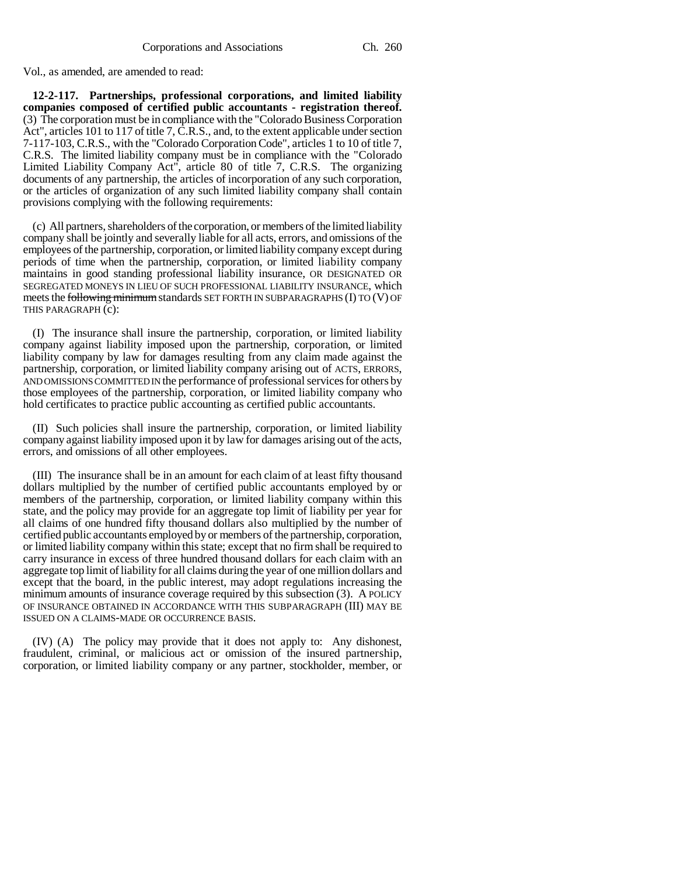Vol., as amended, are amended to read:

**12-2-117. Partnerships, professional corporations, and limited liability companies composed of certified public accountants - registration thereof.** (3) The corporation must be in compliance with the "Colorado Business Corporation Act", articles 101 to 117 of title 7, C.R.S., and, to the extent applicable under section 7-117-103, C.R.S., with the "Colorado Corporation Code", articles 1 to 10 of title 7, C.R.S. The limited liability company must be in compliance with the "Colorado Limited Liability Company Act", article 80 of title 7, C.R.S. The organizing documents of any partnership, the articles of incorporation of any such corporation, or the articles of organization of any such limited liability company shall contain provisions complying with the following requirements:

(c) All partners, shareholders of the corporation, or members of the limited liability company shall be jointly and severally liable for all acts, errors, and omissions of the employees of the partnership, corporation, or limited liability company except during periods of time when the partnership, corporation, or limited liability company maintains in good standing professional liability insurance, OR DESIGNATED OR SEGREGATED MONEYS IN LIEU OF SUCH PROFESSIONAL LIABILITY INSURANCE, which meets the following minimum standards SET FORTH IN SUBPARAGRAPHS (I) TO (V) OF THIS PARAGRAPH (c):

(I) The insurance shall insure the partnership, corporation, or limited liability company against liability imposed upon the partnership, corporation, or limited liability company by law for damages resulting from any claim made against the partnership, corporation, or limited liability company arising out of ACTS, ERRORS, AND OMISSIONS COMMITTED IN the performance of professional services for others by those employees of the partnership, corporation, or limited liability company who hold certificates to practice public accounting as certified public accountants.

(II) Such policies shall insure the partnership, corporation, or limited liability company against liability imposed upon it by law for damages arising out of the acts, errors, and omissions of all other employees.

(III) The insurance shall be in an amount for each claim of at least fifty thousand dollars multiplied by the number of certified public accountants employed by or members of the partnership, corporation, or limited liability company within this state, and the policy may provide for an aggregate top limit of liability per year for all claims of one hundred fifty thousand dollars also multiplied by the number of certified public accountants employed by or members of the partnership, corporation, or limited liability company within this state; except that no firm shall be required to carry insurance in excess of three hundred thousand dollars for each claim with an aggregate top limit of liability for all claims during the year of one million dollars and except that the board, in the public interest, may adopt regulations increasing the minimum amounts of insurance coverage required by this subsection (3). A POLICY OF INSURANCE OBTAINED IN ACCORDANCE WITH THIS SUBPARAGRAPH (III) MAY BE ISSUED ON A CLAIMS-MADE OR OCCURRENCE BASIS.

(IV) (A) The policy may provide that it does not apply to: Any dishonest, fraudulent, criminal, or malicious act or omission of the insured partnership, corporation, or limited liability company or any partner, stockholder, member, or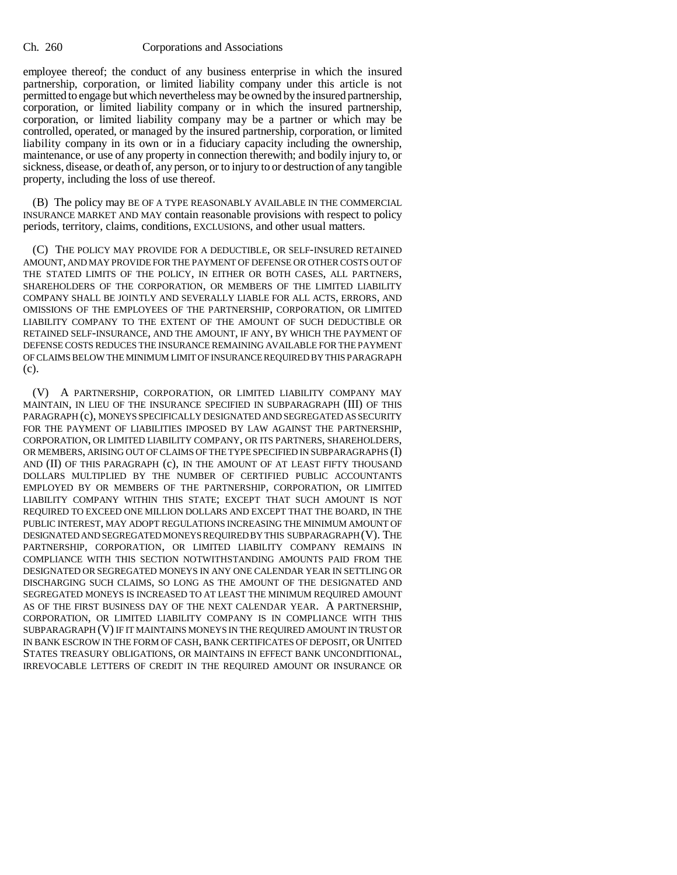employee thereof; the conduct of any business enterprise in which the insured partnership, corporation, or limited liability company under this article is not permitted to engage but which nevertheless may be owned by the insured partnership, corporation, or limited liability company or in which the insured partnership, corporation, or limited liability company may be a partner or which may be controlled, operated, or managed by the insured partnership, corporation, or limited liability company in its own or in a fiduciary capacity including the ownership, maintenance, or use of any property in connection therewith; and bodily injury to, or sickness, disease, or death of, any person, or to injury to or destruction of any tangible property, including the loss of use thereof.

(B) The policy may BE OF A TYPE REASONABLY AVAILABLE IN THE COMMERCIAL INSURANCE MARKET AND MAY contain reasonable provisions with respect to policy periods, territory, claims, conditions, EXCLUSIONS, and other usual matters.

(C) THE POLICY MAY PROVIDE FOR A DEDUCTIBLE, OR SELF-INSURED RETAINED AMOUNT, AND MAY PROVIDE FOR THE PAYMENT OF DEFENSE OR OTHER COSTS OUT OF THE STATED LIMITS OF THE POLICY, IN EITHER OR BOTH CASES, ALL PARTNERS, SHAREHOLDERS OF THE CORPORATION, OR MEMBERS OF THE LIMITED LIABILITY COMPANY SHALL BE JOINTLY AND SEVERALLY LIABLE FOR ALL ACTS, ERRORS, AND OMISSIONS OF THE EMPLOYEES OF THE PARTNERSHIP, CORPORATION, OR LIMITED LIABILITY COMPANY TO THE EXTENT OF THE AMOUNT OF SUCH DEDUCTIBLE OR RETAINED SELF-INSURANCE, AND THE AMOUNT, IF ANY, BY WHICH THE PAYMENT OF DEFENSE COSTS REDUCES THE INSURANCE REMAINING AVAILABLE FOR THE PAYMENT OF CLAIMS BELOW THE MINIMUM LIMIT OF INSURANCE REQUIRED BY THIS PARAGRAPH (c).

(V) A PARTNERSHIP, CORPORATION, OR LIMITED LIABILITY COMPANY MAY MAINTAIN, IN LIEU OF THE INSURANCE SPECIFIED IN SUBPARAGRAPH (III) OF THIS PARAGRAPH (c), MONEYS SPECIFICALLY DESIGNATED AND SEGREGATED AS SECURITY FOR THE PAYMENT OF LIABILITIES IMPOSED BY LAW AGAINST THE PARTNERSHIP, CORPORATION, OR LIMITED LIABILITY COMPANY, OR ITS PARTNERS, SHAREHOLDERS, OR MEMBERS, ARISING OUT OF CLAIMS OF THE TYPE SPECIFIED IN SUBPARAGRAPHS (I) AND (II) OF THIS PARAGRAPH (c), IN THE AMOUNT OF AT LEAST FIFTY THOUSAND DOLLARS MULTIPLIED BY THE NUMBER OF CERTIFIED PUBLIC ACCOUNTANTS EMPLOYED BY OR MEMBERS OF THE PARTNERSHIP, CORPORATION, OR LIMITED LIABILITY COMPANY WITHIN THIS STATE; EXCEPT THAT SUCH AMOUNT IS NOT REQUIRED TO EXCEED ONE MILLION DOLLARS AND EXCEPT THAT THE BOARD, IN THE PUBLIC INTEREST, MAY ADOPT REGULATIONS INCREASING THE MINIMUM AMOUNT OF DESIGNATED AND SEGREGATED MONEYS REQUIRED BY THIS SUBPARAGRAPH (V). THE PARTNERSHIP, CORPORATION, OR LIMITED LIABILITY COMPANY REMAINS IN COMPLIANCE WITH THIS SECTION NOTWITHSTANDING AMOUNTS PAID FROM THE DESIGNATED OR SEGREGATED MONEYS IN ANY ONE CALENDAR YEAR IN SETTLING OR DISCHARGING SUCH CLAIMS, SO LONG AS THE AMOUNT OF THE DESIGNATED AND SEGREGATED MONEYS IS INCREASED TO AT LEAST THE MINIMUM REQUIRED AMOUNT AS OF THE FIRST BUSINESS DAY OF THE NEXT CALENDAR YEAR. A PARTNERSHIP, CORPORATION, OR LIMITED LIABILITY COMPANY IS IN COMPLIANCE WITH THIS SUBPARAGRAPH (V) IF IT MAINTAINS MONEYS IN THE REQUIRED AMOUNT IN TRUST OR IN BANK ESCROW IN THE FORM OF CASH, BANK CERTIFICATES OF DEPOSIT, OR UNITED STATES TREASURY OBLIGATIONS, OR MAINTAINS IN EFFECT BANK UNCONDITIONAL, IRREVOCABLE LETTERS OF CREDIT IN THE REQUIRED AMOUNT OR INSURANCE OR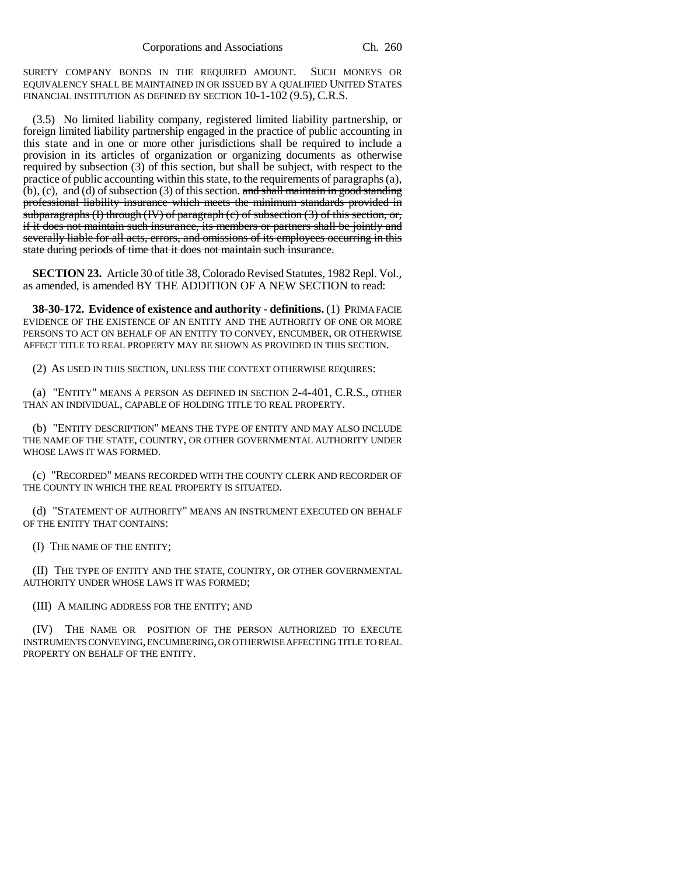SURETY COMPANY BONDS IN THE REQUIRED AMOUNT. SUCH MONEYS OR EQUIVALENCY SHALL BE MAINTAINED IN OR ISSUED BY A QUALIFIED UNITED STATES FINANCIAL INSTITUTION AS DEFINED BY SECTION 10-1-102 (9.5), C.R.S.

(3.5) No limited liability company, registered limited liability partnership, or foreign limited liability partnership engaged in the practice of public accounting in this state and in one or more other jurisdictions shall be required to include a provision in its articles of organization or organizing documents as otherwise required by subsection (3) of this section, but shall be subject, with respect to the practice of public accounting within this state, to the requirements of paragraphs (a),  $(b)$ , (c), and (d) of subsection (3) of this section. and shall maintain in good standing professional liability insurance which meets the minimum standards provided in subparagraphs (I) through (IV) of paragraph (c) of subsection  $(3)$  of this section, or, if it does not maintain such insurance, its members or partners shall be jointly and severally liable for all acts, errors, and omissions of its employees occurring in this state during periods of time that it does not maintain such insurance.

**SECTION 23.** Article 30 of title 38, Colorado Revised Statutes, 1982 Repl. Vol., as amended, is amended BY THE ADDITION OF A NEW SECTION to read:

**38-30-172. Evidence of existence and authority - definitions.** (1) PRIMA FACIE EVIDENCE OF THE EXISTENCE OF AN ENTITY AND THE AUTHORITY OF ONE OR MORE PERSONS TO ACT ON BEHALF OF AN ENTITY TO CONVEY, ENCUMBER, OR OTHERWISE AFFECT TITLE TO REAL PROPERTY MAY BE SHOWN AS PROVIDED IN THIS SECTION.

(2) AS USED IN THIS SECTION, UNLESS THE CONTEXT OTHERWISE REQUIRES:

(a) "ENTITY" MEANS A PERSON AS DEFINED IN SECTION 2-4-401, C.R.S., OTHER THAN AN INDIVIDUAL, CAPABLE OF HOLDING TITLE TO REAL PROPERTY.

(b) "ENTITY DESCRIPTION" MEANS THE TYPE OF ENTITY AND MAY ALSO INCLUDE THE NAME OF THE STATE, COUNTRY, OR OTHER GOVERNMENTAL AUTHORITY UNDER WHOSE LAWS IT WAS FORMED.

(c) "RECORDED" MEANS RECORDED WITH THE COUNTY CLERK AND RECORDER OF THE COUNTY IN WHICH THE REAL PROPERTY IS SITUATED.

(d) "STATEMENT OF AUTHORITY" MEANS AN INSTRUMENT EXECUTED ON BEHALF OF THE ENTITY THAT CONTAINS:

(I) THE NAME OF THE ENTITY;

(II) THE TYPE OF ENTITY AND THE STATE, COUNTRY, OR OTHER GOVERNMENTAL AUTHORITY UNDER WHOSE LAWS IT WAS FORMED;

(III) A MAILING ADDRESS FOR THE ENTITY; AND

(IV) THE NAME OR POSITION OF THE PERSON AUTHORIZED TO EXECUTE INSTRUMENTS CONVEYING, ENCUMBERING, OR OTHERWISE AFFECTING TITLE TO REAL PROPERTY ON BEHALF OF THE ENTITY.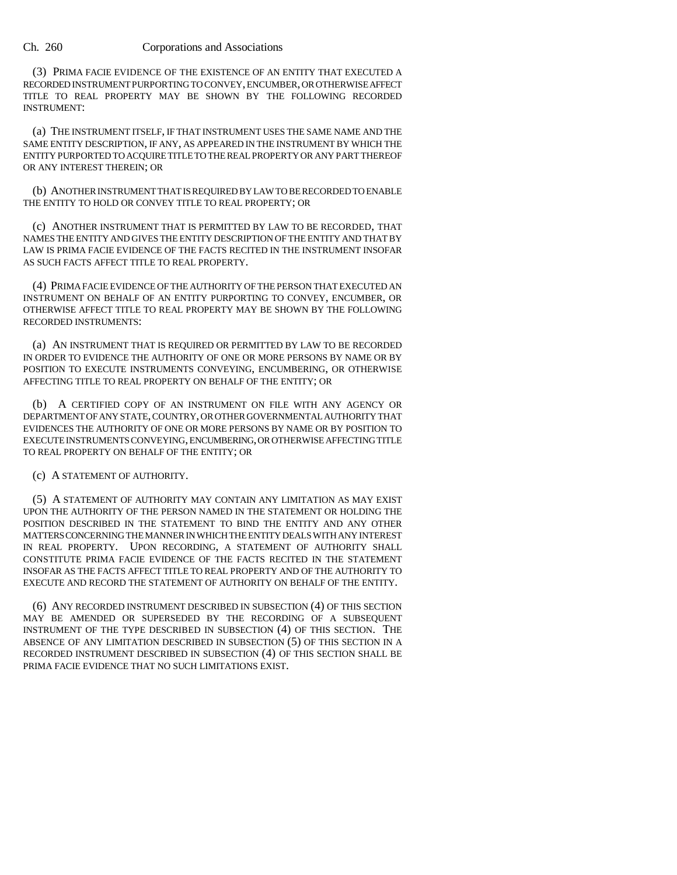(3) PRIMA FACIE EVIDENCE OF THE EXISTENCE OF AN ENTITY THAT EXECUTED A RECORDED INSTRUMENT PURPORTING TO CONVEY, ENCUMBER, OR OTHERWISE AFFECT TITLE TO REAL PROPERTY MAY BE SHOWN BY THE FOLLOWING RECORDED INSTRUMENT:

(a) THE INSTRUMENT ITSELF, IF THAT INSTRUMENT USES THE SAME NAME AND THE SAME ENTITY DESCRIPTION, IF ANY, AS APPEARED IN THE INSTRUMENT BY WHICH THE ENTITY PURPORTED TO ACQUIRE TITLE TO THE REAL PROPERTY OR ANY PART THEREOF OR ANY INTEREST THEREIN; OR

(b) ANOTHER INSTRUMENT THAT IS REQUIRED BY LAW TO BE RECORDED TO ENABLE THE ENTITY TO HOLD OR CONVEY TITLE TO REAL PROPERTY; OR

(c) ANOTHER INSTRUMENT THAT IS PERMITTED BY LAW TO BE RECORDED, THAT NAMES THE ENTITY AND GIVES THE ENTITY DESCRIPTION OF THE ENTITY AND THAT BY LAW IS PRIMA FACIE EVIDENCE OF THE FACTS RECITED IN THE INSTRUMENT INSOFAR AS SUCH FACTS AFFECT TITLE TO REAL PROPERTY.

(4) PRIMA FACIE EVIDENCE OF THE AUTHORITY OF THE PERSON THAT EXECUTED AN INSTRUMENT ON BEHALF OF AN ENTITY PURPORTING TO CONVEY, ENCUMBER, OR OTHERWISE AFFECT TITLE TO REAL PROPERTY MAY BE SHOWN BY THE FOLLOWING RECORDED INSTRUMENTS:

(a) AN INSTRUMENT THAT IS REQUIRED OR PERMITTED BY LAW TO BE RECORDED IN ORDER TO EVIDENCE THE AUTHORITY OF ONE OR MORE PERSONS BY NAME OR BY POSITION TO EXECUTE INSTRUMENTS CONVEYING, ENCUMBERING, OR OTHERWISE AFFECTING TITLE TO REAL PROPERTY ON BEHALF OF THE ENTITY; OR

(b) A CERTIFIED COPY OF AN INSTRUMENT ON FILE WITH ANY AGENCY OR DEPARTMENT OF ANY STATE, COUNTRY, OR OTHER GOVERNMENTAL AUTHORITY THAT EVIDENCES THE AUTHORITY OF ONE OR MORE PERSONS BY NAME OR BY POSITION TO EXECUTE INSTRUMENTS CONVEYING, ENCUMBERING, OR OTHERWISE AFFECTING TITLE TO REAL PROPERTY ON BEHALF OF THE ENTITY; OR

(c) A STATEMENT OF AUTHORITY.

(5) A STATEMENT OF AUTHORITY MAY CONTAIN ANY LIMITATION AS MAY EXIST UPON THE AUTHORITY OF THE PERSON NAMED IN THE STATEMENT OR HOLDING THE POSITION DESCRIBED IN THE STATEMENT TO BIND THE ENTITY AND ANY OTHER MATTERS CONCERNING THE MANNER IN WHICH THE ENTITY DEALS WITH ANY INTEREST IN REAL PROPERTY. UPON RECORDING, A STATEMENT OF AUTHORITY SHALL CONSTITUTE PRIMA FACIE EVIDENCE OF THE FACTS RECITED IN THE STATEMENT INSOFAR AS THE FACTS AFFECT TITLE TO REAL PROPERTY AND OF THE AUTHORITY TO EXECUTE AND RECORD THE STATEMENT OF AUTHORITY ON BEHALF OF THE ENTITY.

(6) ANY RECORDED INSTRUMENT DESCRIBED IN SUBSECTION (4) OF THIS SECTION MAY BE AMENDED OR SUPERSEDED BY THE RECORDING OF A SUBSEQUENT INSTRUMENT OF THE TYPE DESCRIBED IN SUBSECTION (4) OF THIS SECTION. THE ABSENCE OF ANY LIMITATION DESCRIBED IN SUBSECTION (5) OF THIS SECTION IN A RECORDED INSTRUMENT DESCRIBED IN SUBSECTION (4) OF THIS SECTION SHALL BE PRIMA FACIE EVIDENCE THAT NO SUCH LIMITATIONS EXIST.